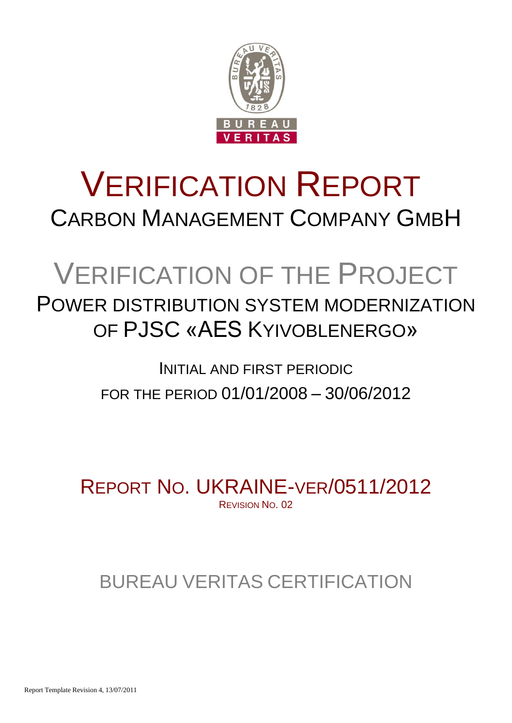

# VERIFICATION REPORT CARBON MANAGEMENT COMPANY GMBH

# VERIFICATION OF THE PROJECT

## POWER DISTRIBUTION SYSTEM MODERNIZATION OF PJSC «AES KYIVOBLENERGO»

## INITIAL AND FIRST PERIODIC FOR THE PERIOD 01/01/2008 – 30/06/2012

REPORT NO. UKRAINE-VER/0511/2012 REVISION NO. 02

## BUREAU VERITAS CERTIFICATION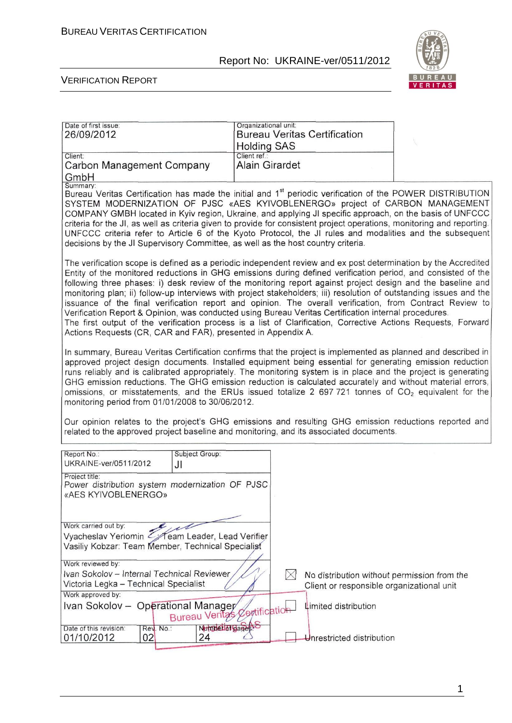

Ī

| Date of first issue:<br>26/09/2012                                                                                                                                                                                                                                                                                                                                                                                                                                                                                                                                                                                                                                                                                                                                                                                                                                       | Organizational unit:<br><b>Bureau Veritas Certification</b>                                             |  |  |  |  |
|--------------------------------------------------------------------------------------------------------------------------------------------------------------------------------------------------------------------------------------------------------------------------------------------------------------------------------------------------------------------------------------------------------------------------------------------------------------------------------------------------------------------------------------------------------------------------------------------------------------------------------------------------------------------------------------------------------------------------------------------------------------------------------------------------------------------------------------------------------------------------|---------------------------------------------------------------------------------------------------------|--|--|--|--|
| Client:<br>Carbon Management Company<br>GmbH                                                                                                                                                                                                                                                                                                                                                                                                                                                                                                                                                                                                                                                                                                                                                                                                                             | <b>Holding SAS</b><br>Client ref.:<br><b>Alain Girardet</b>                                             |  |  |  |  |
| Summary:<br>Bureau Veritas Certification has made the initial and 1 <sup>st</sup> periodic verification of the POWER DISTRIBUTION<br>SYSTEM MODERNIZATION OF PJSC «AES KYIVOBLENERGO» project of CARBON MANAGEMENT<br>COMPANY GMBH located in Kyiv region, Ukraine, and applying JI specific approach, on the basis of UNFCCC<br>criteria for the JI, as well as criteria given to provide for consistent project operations, monitoring and reporting.<br>UNFCCC criteria refer to Article 6 of the Kyoto Protocol, the JI rules and modalities and the subsequent<br>decisions by the JI Supervisory Committee, as well as the host country criteria.                                                                                                                                                                                                                  |                                                                                                         |  |  |  |  |
| The verification scope is defined as a periodic independent review and ex post determination by the Accredited<br>Entity of the monitored reductions in GHG emissions during defined verification period, and consisted of the<br>following three phases: i) desk review of the monitoring report against project design and the baseline and<br>monitoring plan; ii) follow-up interviews with project stakeholders; iii) resolution of outstanding issues and the<br>issuance of the final verification report and opinion. The overall verification, from Contract Review to<br>Verification Report & Opinion, was conducted using Bureau Veritas Certification internal procedures.<br>The first output of the verification process is a list of Clarification, Corrective Actions Requests, Forward<br>Actions Requests (CR, CAR and FAR), presented in Appendix A. |                                                                                                         |  |  |  |  |
| In summary, Bureau Veritas Certification confirms that the project is implemented as planned and described in<br>approved project design documents. Installed equipment being essential for generating emission reduction<br>runs reliably and is calibrated appropriately. The monitoring system is in place and the project is generating<br>GHG emission reductions. The GHG emission reduction is calculated accurately and without material errors,<br>omissions, or misstatements, and the ERUs issued totalize 2 697 721 tonnes of $CO2$ equivalent for the<br>monitoring period from 01/01/2008 to 30/06/2012.<br>Our opinion relates to the project's GHG emissions and resulting GHG emission reductions reported and<br>related to the approved project baseline and monitoring, and its associated documents.                                                |                                                                                                         |  |  |  |  |
| Report No.:<br>Subject Group:                                                                                                                                                                                                                                                                                                                                                                                                                                                                                                                                                                                                                                                                                                                                                                                                                                            |                                                                                                         |  |  |  |  |
| UKRAINE-ver/0511/2012<br>JI<br>Project title:<br>Power distribution system modernization OF PJSC<br>«AES KYIVOBLENERGO»                                                                                                                                                                                                                                                                                                                                                                                                                                                                                                                                                                                                                                                                                                                                                  |                                                                                                         |  |  |  |  |
| Work carried out by:<br>Vyacheslav Yeriomin < Team Leader, Lead Verifier<br>Vasiliy Kobzar: Team Member, Technical Specialist                                                                                                                                                                                                                                                                                                                                                                                                                                                                                                                                                                                                                                                                                                                                            |                                                                                                         |  |  |  |  |
| Work reviewed by:<br>Ivan Sokolov - Internal Technical Reviewer<br>Victoria Legka - Technical Specialist<br>Work approved by:                                                                                                                                                                                                                                                                                                                                                                                                                                                                                                                                                                                                                                                                                                                                            | $\boxtimes$<br>No distribution without permission from the<br>Client or responsible organizational unit |  |  |  |  |
| Ivan Sokolov - Operational Manager<br>Limited distribution<br>Bureau Veritas Centification                                                                                                                                                                                                                                                                                                                                                                                                                                                                                                                                                                                                                                                                                                                                                                               |                                                                                                         |  |  |  |  |
| Number of gages.<br>Date of this revision:<br>Rev. No.:<br>01/10/2012<br>02<br>24                                                                                                                                                                                                                                                                                                                                                                                                                                                                                                                                                                                                                                                                                                                                                                                        | Unrestricted distribution                                                                               |  |  |  |  |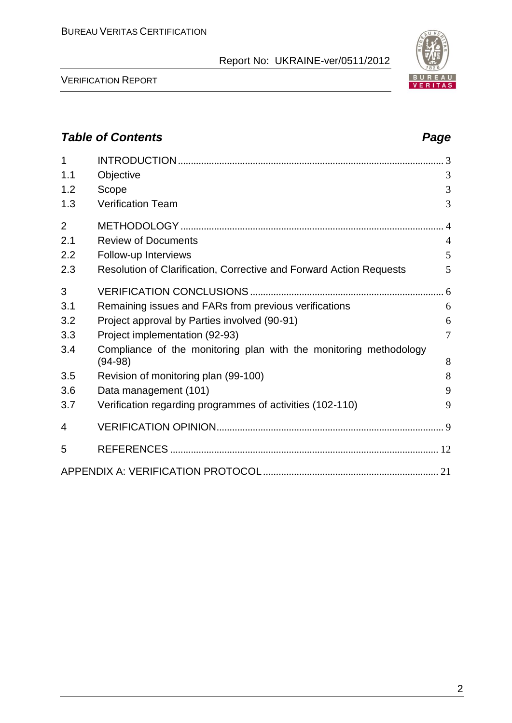

VERIFICATION REPORT

### *Table of Contents Page* 1 INTRODUCTION....................................................................................................... 3 1.1 Objective 3 1.2 Scope 3 1.3 Verification Team 3 2 METHODOLOGY...................................................................................................... 4 2.1 Review of Documents 4 2.2 Follow-up Interviews 5 2.3 Resolution of Clarification, Corrective and Forward Action Requests 5 3 VERIFICATION CONCLUSIONS ........................................................................... 6 3.1 Remaining issues and FARs from previous verifications 6 3.2 Project approval by Parties involved (90-91) 6 3.3 Project implementation (92-93) 7 3.4 Compliance of the monitoring plan with the monitoring methodology (94-98) 8 3.5 Revision of monitoring plan (99-100) 8 3.6 Data management (101) 9 3.7 Verification regarding programmes of activities (102-110) 9 4 VERIFICATION OPINION........................................................................................ 9 5 REFERENCES ........................................................................................................ 12 APPENDIX A: VERIFICATION PROTOCOL .................................................................... 21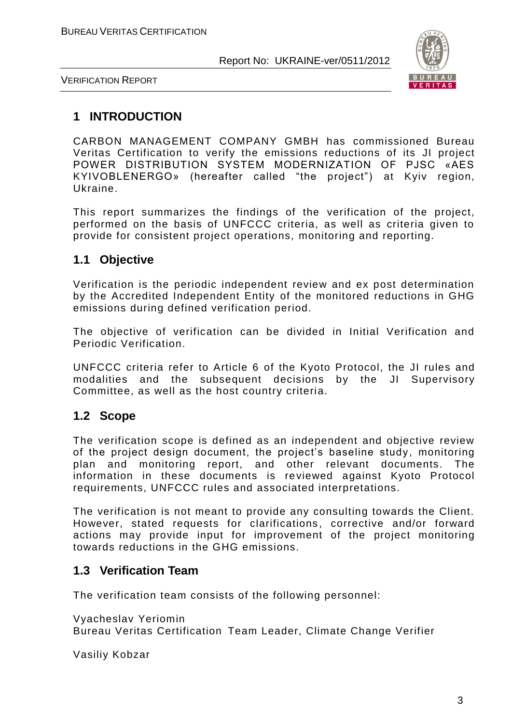

VERIFICATION REPORT

#### **1 INTRODUCTION**

CARBON MANAGEMENT COMPANY GMBH has commissioned Bureau Veritas Certification to verify the emissions reductions of its JI project POWER DISTRIBUTION SYSTEM MODERNIZATION OF PJSC «AES KYIVOBLENERGO» (hereafter called "the project") at Kyiv region, Ukraine.

This report summarizes the findings of the verification of the project, performed on the basis of UNFCCC criteria, as well as criteria given to provide for consistent project operations, monitoring and reporting.

#### **1.1 Objective**

Verification is the periodic independent review and ex post determination by the Accredited Independent Entity of the monitored reductions in GHG emissions during defined verification period.

The objective of verification can be divided in Initial Verification and Periodic Verification.

UNFCCC criteria refer to Article 6 of the Kyoto Protocol, the JI rules and modalities and the subsequent decisions by the JI Supervisory Committee, as well as the host country criteria.

#### **1.2 Scope**

The verification scope is defined as an independent and objective review of the project design document, the project's baseline study, monitoring plan and monitoring report, and other relevant documents. The information in these documents is reviewed against Kyoto Protocol requirements, UNFCCC rules and associated interpretations.

The verification is not meant to provide any consulting towards the Client. However, stated requests for clarifications, corrective and/or forward actions may provide input for improvement of the project monitoring towards reductions in the GHG emissions.

#### **1.3 Verification Team**

The verification team consists of the following personnel:

Vyacheslav Yeriomin Bureau Veritas Certification Team Leader, Climate Change Verifier

Vasiliy Kobzar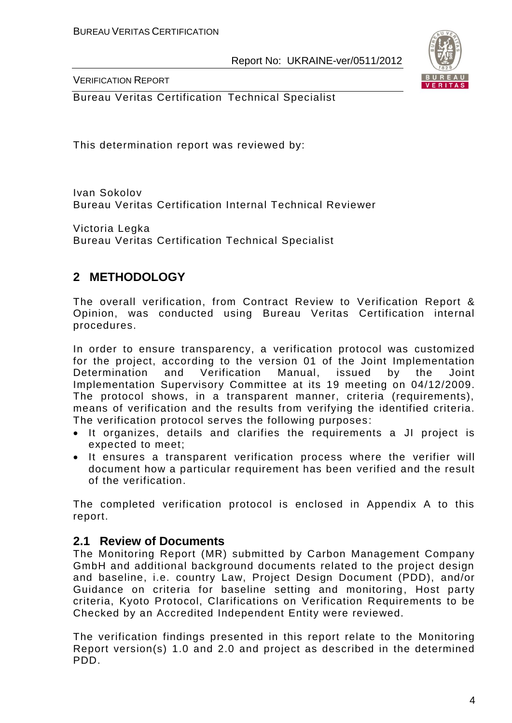

VERIFICATION REPORT

Bureau Veritas Certification Technical Specialist

This determination report was reviewed by:

Ivan Sokolov Bureau Veritas Certification Internal Technical Reviewer

Victoria Legka Bureau Veritas Certification Technical Specialist

### **2 METHODOLOGY**

The overall verification, from Contract Review to Verification Report & Opinion, was conducted using Bureau Veritas Certification internal procedures.

In order to ensure transparency, a verification protocol was customized for the project, according to the version 01 of the Joint Implementation Determination and Verification Manual, issued by the Joint Implementation Supervisory Committee at its 19 meeting on 04/12/2009. The protocol shows, in a transparent manner, criteria (requirements), means of verification and the results from verifying the identified criteria. The verification protocol serves the following purposes:

- It organizes, details and clarifies the requirements a JI project is expected to meet;
- It ensures a transparent verification process where the verifier will document how a particular requirement has been verified and the result of the verification.

The completed verification protocol is enclosed in Appendix A to this report.

#### **2.1 Review of Documents**

The Monitoring Report (MR) submitted by Carbon Management Company GmbH and additional background documents related to the project design and baseline, i.e. country Law, Project Design Document (PDD), and/or Guidance on criteria for baseline setting and monitoring, Host party criteria, Kyoto Protocol, Clarifications on Verification Requirements to be Checked by an Accredited Independent Entity were reviewed.

The verification findings presented in this report relate to the Monitoring Report version(s) 1.0 and 2.0 and project as described in the determined PDD.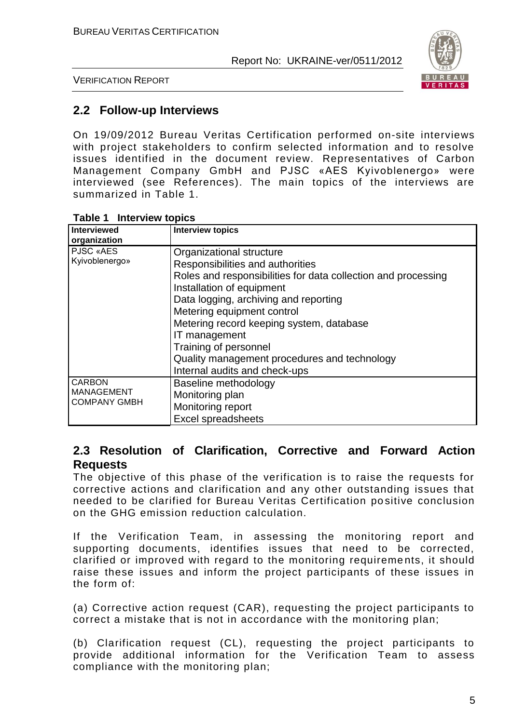

VERIFICATION REPORT

#### **2.2 Follow-up Interviews**

On 19/09/2012 Bureau Veritas Certification performed on-site interviews with project stakeholders to confirm selected information and to resolve issues identified in the document review. Representatives of Carbon Management Company GmbH and PJSC «AES Kyivoblenergo» were interviewed (see References). The main topics of the interviews are summarized in Table 1.

| <b>Interviewed</b><br>organization                        | <b>Interview topics</b>                                                                                                                                                                                                                                                                                                                                                                                  |
|-----------------------------------------------------------|----------------------------------------------------------------------------------------------------------------------------------------------------------------------------------------------------------------------------------------------------------------------------------------------------------------------------------------------------------------------------------------------------------|
| PJSC «AES<br>Kyivoblenergo»                               | Organizational structure<br>Responsibilities and authorities<br>Roles and responsibilities for data collection and processing<br>Installation of equipment<br>Data logging, archiving and reporting<br>Metering equipment control<br>Metering record keeping system, database<br>IT management<br>Training of personnel<br>Quality management procedures and technology<br>Internal audits and check-ups |
| <b>CARBON</b><br><b>MANAGEMENT</b><br><b>COMPANY GMBH</b> | Baseline methodology<br>Monitoring plan<br>Monitoring report<br><b>Excel spreadsheets</b>                                                                                                                                                                                                                                                                                                                |

#### **Table 1 Interview topics**

#### **2.3 Resolution of Clarification, Corrective and Forward Action Requests**

The objective of this phase of the verification is to raise the requests for corrective actions and clarification and any other outstanding issues that needed to be clarified for Bureau Veritas Certification positive conclusion on the GHG emission reduction calculation.

If the Verification Team, in assessing the monitoring report and supporting documents, identifies issues that need to be corrected, clarified or improved with regard to the monitoring requireme nts, it should raise these issues and inform the project participants of these issues in the form of:

(a) Corrective action request (CAR), requesting the project participants to correct a mistake that is not in accordance with the monitoring plan;

(b) Clarification request (CL), requesting the project participants to provide additional information for the Verification Team to assess compliance with the monitoring plan;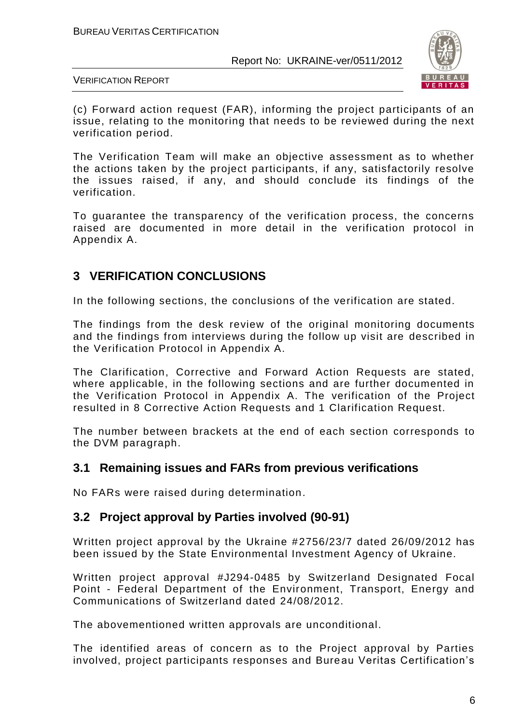

VERIFICATION REPORT

(c) Forward action request (FAR), informing the project participants of an issue, relating to the monitoring that needs to be reviewed during the next verification period.

The Verification Team will make an objective assessment as to whether the actions taken by the project participants, if any, satisfactorily resolve the issues raised, if any, and should conclude its findings of the verification.

To guarantee the transparency of the verification process, the concerns raised are documented in more detail in the verification protocol in Appendix A.

### **3 VERIFICATION CONCLUSIONS**

In the following sections, the conclusions of the verification are stated.

The findings from the desk review of the original monitoring documents and the findings from interviews during the follow up visit are described in the Verification Protocol in Appendix A.

The Clarification, Corrective and Forward Action Requests are stated, where applicable, in the following sections and are further documented in the Verification Protocol in Appendix A. The verification of the Project resulted in 8 Corrective Action Requests and 1 Clarification Request.

The number between brackets at the end of each section corresponds to the DVM paragraph.

#### **3.1 Remaining issues and FARs from previous verifications**

No FARs were raised during determination.

#### **3.2 Project approval by Parties involved (90-91)**

Written project approval by the Ukraine #2756/23/7 dated 26/09/2012 has been issued by the State Environmental Investment Agency of Ukraine.

Written project approval #J294-0485 by Switzerland Designated Focal Point - Federal Department of the Environment, Transport, Energy and Communications of Switzerland dated 24/08/2012.

The abovementioned written approvals are unconditional.

The identified areas of concern as to the Project approval by Parties involved, project participants responses and Bureau Veritas Certification's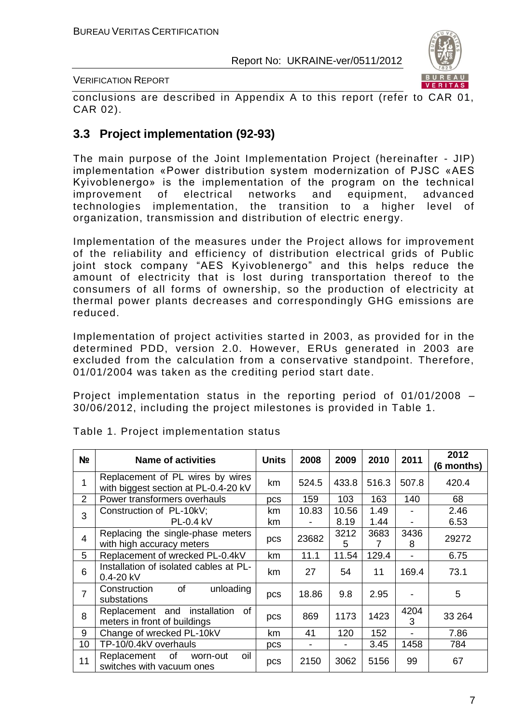

#### VERIFICATION REPORT

conclusions are described in Appendix A to this report (refer to CAR 01, CAR 02).

#### **3.3 Project implementation (92-93)**

The main purpose of the Joint Implementation Project (hereinafter - JIP) implementation «Power distribution system modernization of PJSC «AES Kyivoblenergo» is the implementation of the program on the technical improvement of electrical networks and equipment, advanced technologies implementation, the transition to a higher level of organization, transmission and distribution of electric energy.

Implementation of the measures under the Project allows for improvement of the reliability and efficiency of distribution electrical grids of Public joint stock company "AES Kyivoblenergo" and this helps reduce the amount of electricity that is lost during transportation thereof to the consumers of all forms of ownership, so the production of electricity at thermal power plants decreases and correspondingly GHG emissions are reduced.

Implementation of project activities started in 2003, as provided for in the determined PDD, version 2.0. However, ERUs generated in 2003 are excluded from the calculation from a conservative standpoint. Therefore, 01/01/2004 was taken as the crediting period start date.

Project implementation status in the reporting period of 01/01/2008 – 30/06/2012, including the project milestones is provided in Table 1.

| N <sub>2</sub> | <b>Name of activities</b>                                                | <b>Units</b> | 2008  | 2009          | 2010         | 2011      | 2012<br>(6 months) |
|----------------|--------------------------------------------------------------------------|--------------|-------|---------------|--------------|-----------|--------------------|
| 1              | Replacement of PL wires by wires<br>with biggest section at PL-0.4-20 kV | km           | 524.5 | 433.8         | 516.3        | 507.8     | 420.4              |
| $\overline{2}$ | Power transformers overhauls                                             | pcs          | 159   | 103           | 163          | 140       | 68                 |
| 3              | Construction of PL-10kV;<br><b>PL-0.4 kV</b>                             | km<br>km     | 10.83 | 10.56<br>8.19 | 1.49<br>1.44 | -         | 2.46<br>6.53       |
| 4              | Replacing the single-phase meters<br>with high accuracy meters           | pcs          | 23682 | 3212<br>5     | 3683<br>7    | 3436<br>8 | 29272              |
| 5              | Replacement of wrecked PL-0.4kV                                          | km           | 11.1  | 11.54         | 129.4        |           | 6.75               |
| 6              | Installation of isolated cables at PL-<br>$0.4 - 20$ kV                  | km           | 27    | 54            | 11           | 169.4     | 73.1               |
| $\overline{7}$ | of<br>unloading<br>Construction<br>substations                           | pcs          | 18.86 | 9.8           | 2.95         |           | 5                  |
| 8              | installation<br>of<br>Replacement and<br>meters in front of buildings    | pcs          | 869   | 1173          | 1423         | 4204<br>3 | 33 264             |
| 9              | Change of wrecked PL-10kV                                                | km           | 41    | 120           | 152          |           | 7.86               |
| 10             | TP-10/0.4kV overhauls                                                    | pcs          |       |               | 3.45         | 1458      | 784                |
| 11             | Replacement of<br>oil<br>worn-out<br>switches with vacuum ones           | pcs          | 2150  | 3062          | 5156         | 99        | 67                 |

#### Table 1. Project implementation status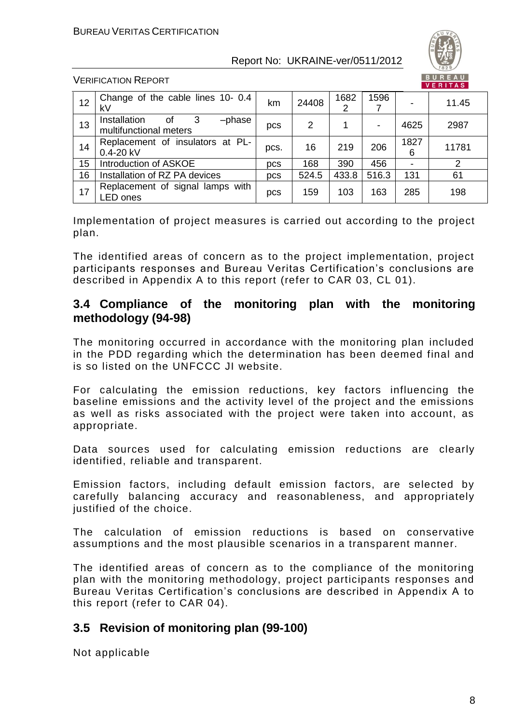

VERIFICATION REPORT

| 12 | Change of the cable lines 10- 0.4<br>kV                     | km         | 24408 | 1682<br>2 | 1596  |           | 11.45 |
|----|-------------------------------------------------------------|------------|-------|-----------|-------|-----------|-------|
| 13 | Installation<br>3<br>οf<br>-phase<br>multifunctional meters | pcs        | 2     |           | -     | 4625      | 2987  |
| 14 | Replacement of insulators at PL-<br>$0.4 - 20$ kV           | pcs.       | 16    | 219       | 206   | 1827<br>6 | 11781 |
| 15 | Introduction of ASKOE                                       | <b>DCS</b> | 168   | 390       | 456   |           |       |
| 16 | Installation of RZ PA devices                               | pcs        | 524.5 | 433.8     | 516.3 | 131       | 61    |
| 17 | Replacement of signal lamps with<br>LED ones                | pcs        | 159   | 103       | 163   | 285       | 198   |

Implementation of project measures is carried out according to the project plan.

The identified areas of concern as to the project implementation, project participants responses and Bureau Veritas Certification's conclusions are described in Appendix A to this report (refer to CAR 03, CL 01).

#### **3.4 Compliance of the monitoring plan with the monitoring methodology (94-98)**

The monitoring occurred in accordance with the monitoring plan included in the PDD regarding which the determination has been deemed final and is so listed on the UNFCCC JI website.

For calculating the emission reductions, key factors influencing the baseline emissions and the activity level of the project and the emissions as well as risks associated with the project were taken into account, as appropriate.

Data sources used for calculating emission reductions are clearly identified, reliable and transparent.

Emission factors, including default emission factors, are selected by carefully balancing accuracy and reasonableness, and appropriately justified of the choice.

The calculation of emission reductions is based on conservative assumptions and the most plausible scenarios in a transparent manner.

The identified areas of concern as to the compliance of the monitoring plan with the monitoring methodology, project participants responses and Bureau Veritas Certification's conclusions are described in Appendix A to this report (refer to CAR 04).

### **3.5 Revision of monitoring plan (99-100)**

Not applicable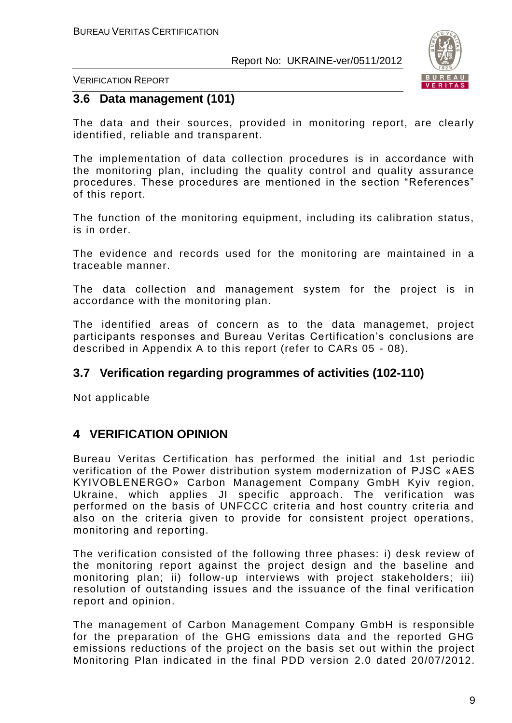

VERIFICATION REPORT

#### **3.6 Data management (101)**

The data and their sources, provided in monitoring report, are clearly identified, reliable and transparent.

The implementation of data collection procedures is in accordance with the monitoring plan, including the quality control and quality assurance procedures. These procedures are mentioned in the section "References" of this report.

The function of the monitoring equipment, including its calibration status, is in order.

The evidence and records used for the monitoring are maintained in a traceable manner.

The data collection and management system for the project is in accordance with the monitoring plan.

The identified areas of concern as to the data managemet, project participants responses and Bureau Veritas Certification's conclusions are described in Appendix A to this report (refer to CARs 05 - 08).

#### **3.7 Verification regarding programmes of activities (102-110)**

Not applicable

#### **4 VERIFICATION OPINION**

Bureau Veritas Certification has performed the initial and 1st periodic verification of the Power distribution system modernization of PJSC «AES KYIVOBLENERGO» Carbon Management Company GmbH Kyiv region, Ukraine, which applies JI specific approach. The verification was performed on the basis of UNFCCC criteria and host country criteria and also on the criteria given to provide for consistent project operations, monitoring and reporting.

The verification consisted of the following three phases: i) desk review of the monitoring report against the project design and the baseline and monitoring plan; ii) follow-up interviews with project stakeholders; iii) resolution of outstanding issues and the issuance of the final verification report and opinion.

The management of Carbon Management Company GmbH is responsible for the preparation of the GHG emissions data and the reported GHG emissions reductions of the project on the basis set out within the project Monitoring Plan indicated in the final PDD version 2.0 dated 20/07/2012.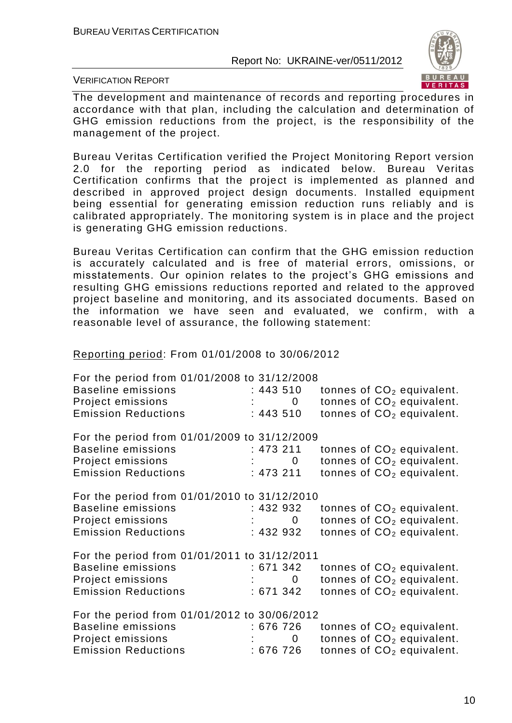

VERIFICATION REPORT

The development and maintenance of records and reporting procedures in accordance with that plan, including the calculation and determination of GHG emission reductions from the project, is the responsibility of the management of the project.

Bureau Veritas Certification verified the Project Monitoring Report version 2.0 for the reporting period as indicated below. Bureau Veritas Certification confirms that the project is implemented as planned and described in approved project design documents. Installed equipment being essential for generating emission reduction runs reliably and is calibrated appropriately. The monitoring system is in place and the project is generating GHG emission reductions.

Bureau Veritas Certification can confirm that the GHG emission reduction is accurately calculated and is free of material errors, omissions, or misstatements. Our opinion relates to the project's GHG emissions and resulting GHG emissions reductions reported and related to the approved project baseline and monitoring, and its associated documents. Based on the information we have seen and evaluated, we confirm, with a reasonable level of assurance, the following statement:

Reporting period: From 01/01/2008 to 30/06/2012

| For the period from 01/01/2008 to 31/12/2008<br><b>Baseline emissions</b><br>Project emissions<br><b>Emission Reductions</b> | : 443 510<br>$\mathbf 0$<br>: 443 510                |  | tonnes of $CO2$ equivalent.<br>tonnes of CO <sub>2</sub> equivalent.<br>tonnes of $CO2$ equivalent. |
|------------------------------------------------------------------------------------------------------------------------------|------------------------------------------------------|--|-----------------------------------------------------------------------------------------------------|
| For the period from 01/01/2009 to 31/12/2009<br><b>Baseline emissions</b><br>Project emissions<br><b>Emission Reductions</b> | : 473 211<br>$\overline{\mathbf{0}}$<br>: 473211     |  | tonnes of $CO2$ equivalent.<br>tonnes of $CO2$ equivalent.<br>tonnes of $CO2$ equivalent.           |
| For the period from 01/01/2010 to 31/12/2010<br><b>Baseline emissions</b><br>Project emissions<br><b>Emission Reductions</b> | : 432 932<br>$\mathbf{0}$<br>:432 932                |  | tonnes of $CO2$ equivalent.<br>tonnes of CO <sub>2</sub> equivalent.<br>tonnes of $CO2$ equivalent. |
| For the period from 01/01/2011 to 31/12/2011<br><b>Baseline emissions</b><br>Project emissions<br><b>Emission Reductions</b> | : 671342<br>$\mathbf{C}$ : $\mathbf{C}$<br>: 671 342 |  | tonnes of $CO2$ equivalent.<br>tonnes of CO <sub>2</sub> equivalent.<br>tonnes of $CO2$ equivalent. |
| For the period from 01/01/2012 to 30/06/2012<br><b>Baseline emissions</b><br>Project emissions<br><b>Emission Reductions</b> | :676 726<br>0<br>: 676 726                           |  | tonnes of $CO2$ equivalent.<br>tonnes of CO <sub>2</sub> equivalent.<br>tonnes of $CO2$ equivalent. |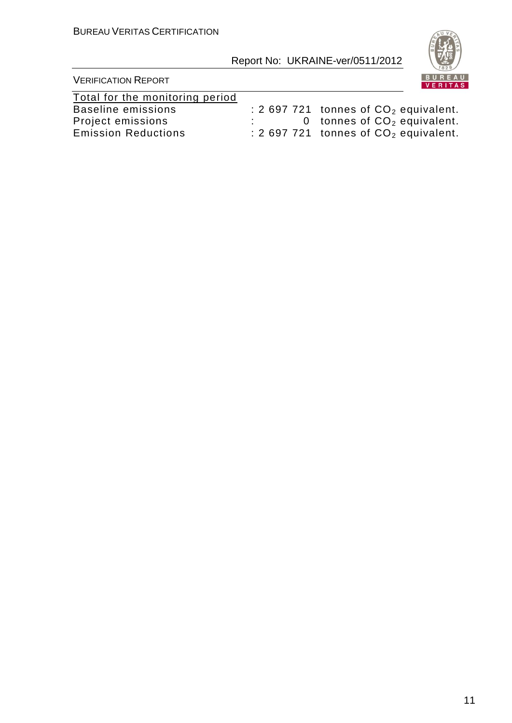

| Total for the monitoring period |                                         |
|---------------------------------|-----------------------------------------|
| Baseline emissions              | : 2 697 721 tonnes of $CO2$ equivalent. |
| Project emissions               | 0 tonnes of $CO2$ equivalent.           |
| <b>Emission Reductions</b>      | : 2 697 721 tonnes of $CO2$ equivalent. |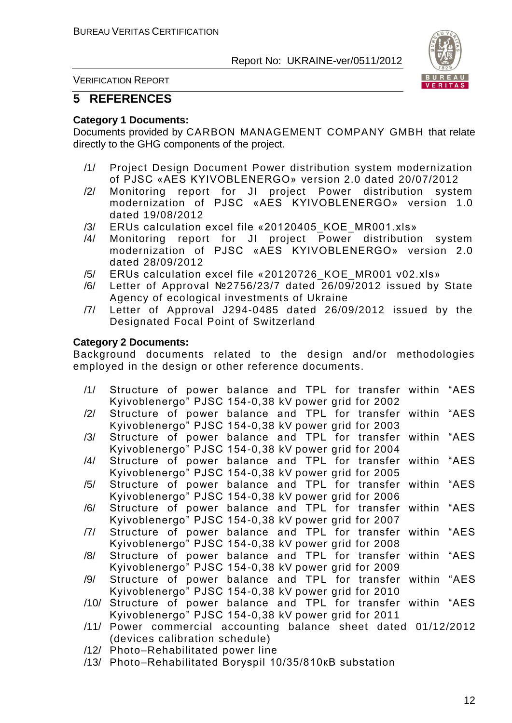

VERIFICATION REPORT

#### **5 REFERENCES**

#### **Category 1 Documents:**

Documents provided by CARBON MANAGEMENT COMPANY GMBH that relate directly to the GHG components of the project.

- /1/ Project Design Document Power distribution system modernization of PJSC «AES KYIVOBLENERGO» version 2.0 dated 20/07/2012
- /2/ Monitoring report for JI project Power distribution system modernization of PJSC «AES KYIVOBLENERGO» version 1.0 dated 19/08/2012
- /3/ ERUs calculation excel file «20120405 KOE MR001.xls»
- /4/ Monitoring report for JI project Power distribution system modernization of PJSC «AES KYIVOBLENERGO» version 2.0 dated 28/09/2012
- /5/ ERUs calculation excel file «20120726\_KOE\_MR001 v02.xls»
- /6/ Letter of Approval №2756/23/7 dated 26/09/2012 issued by State Agency of ecological investments of Ukraine
- /7/ Letter of Approval J294-0485 dated 26/09/2012 issued by the Designated Focal Point of Switzerland

#### **Category 2 Documents:**

Background documents related to the design and/or methodologies employed in the design or other reference documents.

- /1/ Structure of power balance and TPL for transfer within "AES Kyivoblenergo" PJSC 154-0,38 kV power grid for 2002
- /2/ Structure of power balance and TPL for transfer within "AES Kyivoblenergo" PJSC 154-0,38 kV power grid for 2003
- /3/ Structure of power balance and TPL for transfer within "AES Kyivoblenergo" PJSC 154-0,38 kV power grid for 2004
- /4/ Structure of power balance and TPL for transfer within "AES Kyivoblenergo" PJSC 154-0,38 kV power grid for 2005
- /5/ Structure of power balance and TPL for transfer within "AES Kyivoblenergo" PJSC 154-0,38 kV power grid for 2006
- /6/ Structure of power balance and TPL for transfer within "AES Kyivoblenergo" PJSC 154-0,38 kV power grid for 2007
- /7/ Structure of power balance and TPL for transfer within "AES Kyivoblenergo" PJSC 154-0,38 kV power grid for 2008
- /8/ Structure of power balance and TPL for transfer within "AES Kyivoblenergo" PJSC 154-0,38 kV power grid for 2009
- /9/ Structure of power balance and TPL for transfer within "AES Kyivoblenergo" PJSC 154-0,38 kV power grid for 2010
- /10/ Structure of power balance and TPL for transfer within "AES Kyivoblenergo" PJSC 154-0,38 kV power grid for 2011
- /11/ Power commercial accounting balance sheet dated 01/12/2012 (devices calibration schedule)
- /12/ Photo–Rehabilitated power line
- /13/ Photo–Rehabilitated Boryspil 10/35/810кВ substation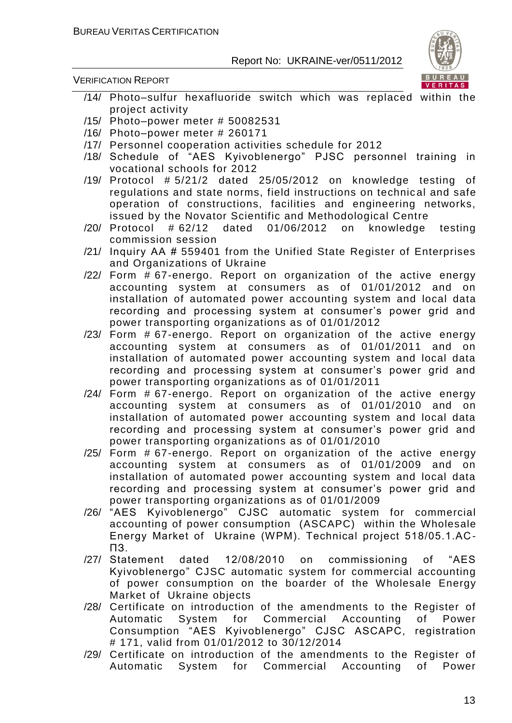

- /14/ Photo[–sulfur hexafluoride](http://multitran.ru/c/m.exe?t=4042092_1_2) switch which was replaced within the project activity
- /15/ Photo–power meter # 50082531
- /16/ Photo–power meter # 260171
- /17/ Personnel cooperation activities schedule for 2012
- /18/ Schedule of "AES Kyivoblenergo" PJSC personnel training in vocational schools for 2012
- /19/ Protocol # 5/21/2 dated 25/05/2012 on knowledge testing of regulations and state norms, field instructions on technical and safe operation of constructions, facilities and engineering networks, issued by the Novator Scientific and Methodological Centre
- /20/ Protocol # 62/12 dated 01/06/2012 on knowledge testing commission session
- /21/ Inquiry АА # 559401 from the Unified State Register of Enterprises and Organizations of Ukraine
- /22/ Form # 67-energo. Report on organization of the active energy accounting system at consumers as of 01/01/2012 and on installation of automated power accounting system and local data recording and processing system at consumer's power grid and power transporting organizations as of 01/01/2012
- /23/ Form # 67-energo. Report on organization of the active energy accounting system at consumers as of 01/01/2011 and on installation of automated power accounting system and local data recording and processing system at consumer's power grid and power transporting organizations as of 01/01/2011
- /24/ Form # 67-energo. Report on organization of the active energy accounting system at consumers as of 01/01/2010 and on installation of automated power accounting system and local data recording and processing system at consumer's power grid and power transporting organizations as of 01/01/2010
- /25/ Form # 67-energo. Report on organization of the active energy accounting system at consumers as of 01/01/2009 and on installation of automated power accounting system and local data recording and processing system at consumer's power grid and power transporting organizations as of 01/01/2009
- /26/ "AES Kyivoblenergo" CJSC automatic system for commercial accounting of power consumption (ASCAPC) within the Wholesale Energy Market of Ukraine (WPM). Technical project 518/05.1.АС - ПЗ.
- /27/ Statement dated 12/08/2010 on commissioning of "AES Kyivoblenergo" CJSC automatic system for commercial accounting of power consumption on the boarder of the Wholesale Energy Market of Ukraine objects
- /28/ Certificate on introduction of the amendments to the Register of Automatic System for Commercial Accounting of Power Consumption "AES Kyivoblenergo" CJSC ASCAPC, registration # 171, valid from 01/01/2012 to 30/12/2014
- /29/ Certificate on introduction of the amendments to the Register of Automatic System for Commercial Accounting of Power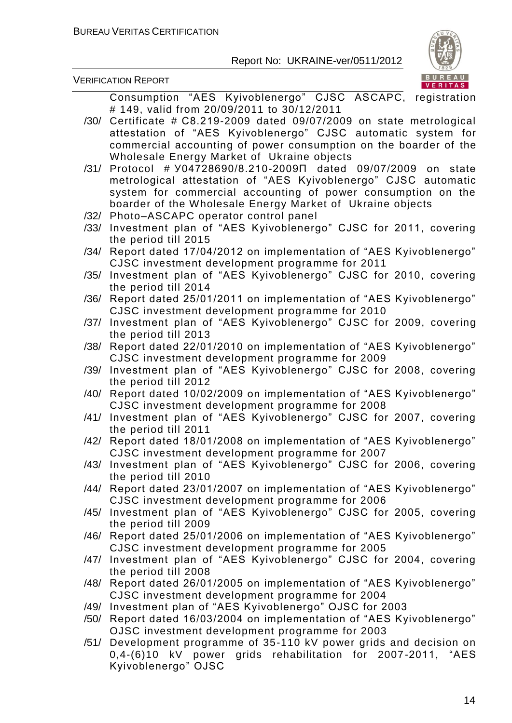VERIFICATION REPORT



Consumption "AES Kyivoblenergo" CJSC ASCAPC, registration # 149, valid from 20/09/2011 to 30/12/2011 /30/ Certificate # С8.219-2009 dated 09/07/2009 on state metrological attestation of "AES Kyivoblenergo" CJSC automatic system for commercial accounting of power consumption on the boarder of the Wholesale Energy Market of Ukraine objects /31/ Protocol # У04728690/8.210-2009П dated 09/07/2009 on state metrological attestation of "AES Kyivoblenergo" CJSC automatic system for commercial accounting of power consumption on the boarder of the Wholesale Energy Market of Ukraine objects /32/ Photo–ASCAPC operator control panel /33/ Investment plan of "AES Kyivoblenergo" CJSC for 2011, covering the period till 2015 /34/ Report dated 17/04/2012 on implementation of "AES Kyivoblenergo" CJSC investment development programme for 2011 /35/ Investment plan of "AES Kyivoblenergo" CJSC for 2010, covering the period till 2014 /36/ Report dated 25/01/2011 on implementation of "AES Kyivoblenergo" CJSC investment development programme for 2010 /37/ Investment plan of "AES Kyivoblenergo" CJSC for 2009, covering the period till 2013 /38/ Report dated 22/01/2010 on implementation of "AES Kyivoblenergo" CJSC investment development programme for 2009 /39/ Investment plan of "AES Kyivoblenergo" CJSC for 2008, covering the period till 2012 /40/ Report dated 10/02/2009 on implementation of "AES Kyivoblenergo" CJSC investment development programme for 2008 /41/ Investment plan of "AES Kyivoblenergo" CJSC for 2007, covering the period till 2011 /42/ Report dated 18/01/2008 on implementation of "AES Kyivoblenergo" CJSC investment development programme for 2007 /43/ Investment plan of "AES Kyivoblenergo" CJSC for 2006, covering the period till 2010 /44/ Report dated 23/01/2007 on implementation of "AES Kyivoblenergo" CJSC investment development programme for 2006 /45/ Investment plan of "AES Kyivoblenergo" CJSC for 2005, covering the period till 2009 /46/ Report dated 25/01/2006 on implementation of "AES Kyivoblenergo" CJSC investment development programme for 2005 /47/ Investment plan of "AES Kyivoblenergo" CJSC for 2004, covering the period till 2008 /48/ Report dated 26/01/2005 on implementation of "AES Kyivoblenergo" CJSC investment development programme for 2004 /49/ Investment plan of "AES Kyivoblenergo" OJSC for 2003 /50/ Report dated 16/03/2004 on implementation of "AES Kyivoblenergo" OJSC investment development programme for 2003

/51/ Development programme of 35-110 kV power grids and decision on 0,4-(6)10 kV power grids rehabilitation for 2007-2011, "AES Kyivoblenergo" OJSC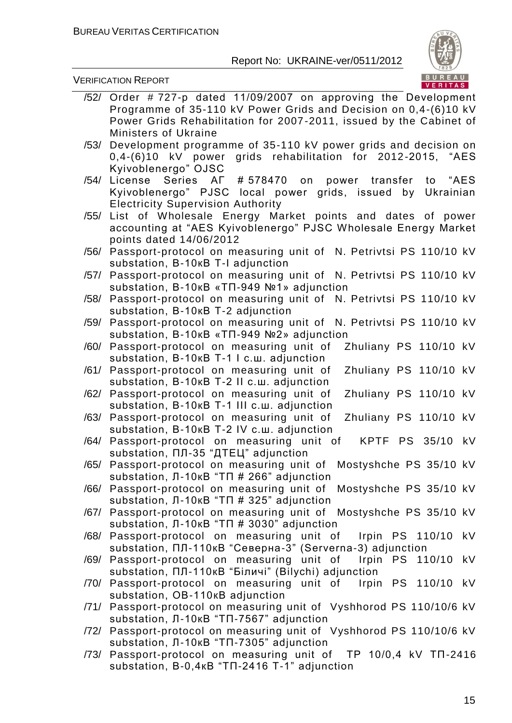

|      | $/52/$ Order # 727-p dated 11/09/2007 on approving the Development                                            |
|------|---------------------------------------------------------------------------------------------------------------|
|      | Programme of 35-110 kV Power Grids and Decision on 0,4-(6)10 kV                                               |
|      | Power Grids Rehabilitation for 2007-2011, issued by the Cabinet of                                            |
|      | <b>Ministers of Ukraine</b>                                                                                   |
| /53/ | Development programme of 35-110 kV power grids and decision on                                                |
|      | 0,4-(6)10 kV power grids rehabilitation for 2012-2015, "AES                                                   |
|      | Kyivoblenergo" OJSC                                                                                           |
| /54/ | License Series AF # 578470 on power transfer<br>to "AES                                                       |
|      | Kyivoblenergo" PJSC local power grids, issued by Ukrainian                                                    |
|      | <b>Electricity Supervision Authority</b>                                                                      |
| /55/ | List of Wholesale Energy Market points and dates of power                                                     |
|      | accounting at "AES Kyivoblenergo" PJSC Wholesale Energy Market                                                |
|      | points dated 14/06/2012                                                                                       |
|      | /56/ Passport-protocol on measuring unit of N. Petrivtsi PS 110/10 kV                                         |
|      | substation, B-10KB T-I adjunction                                                                             |
| /57/ | Passport-protocol on measuring unit of N. Petrivtsi PS 110/10 kV                                              |
|      | substation, B-10KB «TΠ-949 №1» adjunction                                                                     |
| /58/ | Passport-protocol on measuring unit of N. Petrivtsi PS 110/10 kV                                              |
|      | substation, B-10KB T-2 adjunction                                                                             |
| /59/ | Passport-protocol on measuring unit of<br>N. Petrivtsi PS 110/10 kV                                           |
|      | substation, B-10KB «TΠ-949 №2» adjunction                                                                     |
| /60/ | Zhuliany PS 110/10 kV<br>Passport-protocol on measuring unit of                                               |
|      | substation, B-10KB T-1 I c.w. adjunction                                                                      |
|      | Zhuliany PS 110/10 kV<br>/61/ Passport-protocol on measuring unit of                                          |
|      | substation, B-10KB T-2 II c.w. adjunction                                                                     |
| /62/ | Zhuliany PS 110/10 kV<br>Passport-protocol on measuring unit of                                               |
| /63/ | substation, B-10KB T-1 III c.w. adjunction<br>Zhuliany PS 110/10 kV<br>Passport-protocol on measuring unit of |
|      | substation, B-10кВ Т-2 IV с.ш. adjunction                                                                     |
|      | KPTF PS 35/10<br>/64/ Passport-protocol on measuring unit of<br>kV                                            |
|      | substation, ПЛ-35 "ДТЕЦ" adjunction                                                                           |
|      | /65/ Passport-protocol on measuring unit of<br>Mostyshche PS 35/10 kV                                         |
|      | substation, Л-10кВ "ТП # 266" adjunction                                                                      |
|      | /66/ Passport-protocol on measuring unit of Mostyshche PS 35/10 kV                                            |
|      | Substation, $\Pi$ -10KB "T $\Pi$ # 325" adjunction                                                            |
|      | /67/ Passport-protocol on measuring unit of Mostyshche PS 35/10 kV                                            |
|      | substation, Л-10кВ "ТП # 3030" adjunction                                                                     |
|      | /68/ Passport-protocol on measuring unit of<br>Irpin PS 110/10<br>kV                                          |
|      | substation, ПЛ-110кВ "Северна-3" (Serverna-3) adjunction                                                      |
|      | /69/ Passport-protocol on measuring unit of<br>Irpin PS 110/10<br>kV                                          |
|      | substation, ПЛ-110кВ "Біличі" (Bilychi) adjunction                                                            |
|      | Irpin PS 110/10<br>/70/ Passport-protocol on measuring unit of<br>kV                                          |
|      | substation, OB-110KB adjunction                                                                               |
|      | /71/ Passport-protocol on measuring unit of Vyshhorod PS 110/10/6 kV                                          |
|      | substation, $\Pi$ -10KB "TII-7567" adjunction                                                                 |
|      | /72/ Passport-protocol on measuring unit of Vyshhorod PS 110/10/6 kV                                          |
|      | substation, Л-10кВ "ТП-7305" adjunction                                                                       |
|      | /73/ Passport-protocol on measuring unit of TP 10/0,4 kV TN-2416                                              |
|      | substation, B-0,4KB "TN-2416 T-1" adjunction                                                                  |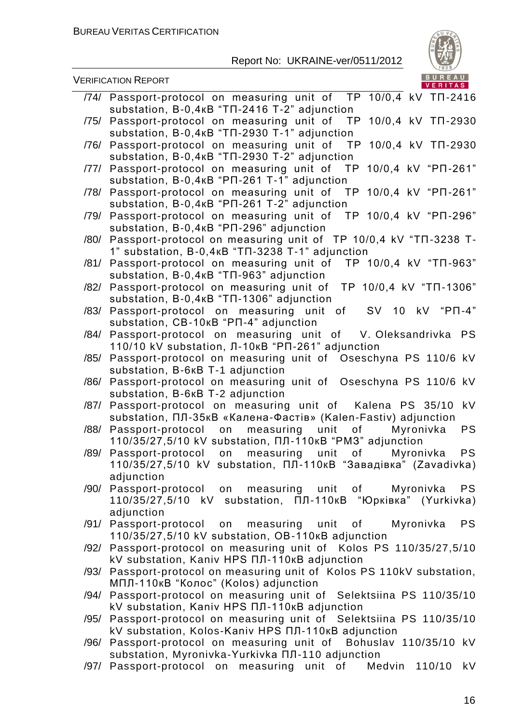

VERIFICATION REPORT

| substation, B-0,4KB "TN-2416 T-2" adjunction<br>Passport-protocol on measuring unit of TP 10/0,4 kV TN-2930<br>/75/<br>substation, B-0,4KB "TN-2930 T-1" adjunction<br>/76/ Passport-protocol on measuring unit of TP 10/0,4 kV TN-2930<br>substation, B-0,4KB "TN-2930 T-2" adjunction<br>10/0,4 kV "PN-261"<br>Passport-protocol on measuring unit of TP<br>/77/<br>substation, B-0,4kB "PN-261 T-1" adjunction<br>Passport-protocol on measuring unit of TP 10/0,4 kV "PN-261"<br>/78/<br>Substation, B-0,4KB "PN-261 T-2" adjunction<br>Passport-protocol on measuring unit of TP 10/0,4 kV "PN-296"<br>/79/<br>substation, B-0,4KB "PN-296" adjunction<br>Passport-protocol on measuring unit of TP 10/0,4 kV "TN-3238 T-<br>/80/<br>1" substation, B-0,4KB "TN-3238 T-1" adjunction<br>Passport-protocol on measuring unit of TP 10/0,4 kV "TN-963"<br>/81/<br>substation, B-0,4KB "TN-963" adjunction<br>Passport-protocol on measuring unit of TP 10/0,4 kV "TN-1306"<br>/82/<br>substation, B-0,4KB "TN-1306" adjunction<br>Passport-protocol on measuring unit of<br>SV 10 kV "PN-4"<br>/83/<br>Substation, CB-10KB "PN-4" adjunction<br>Passport-protocol on measuring unit of V. Oleksandrivka PS<br>/84/<br>110/10 kV substation, Л-10кВ "РП-261" adjunction<br>Passport-protocol on measuring unit of Oseschyna PS 110/6 kV<br>/85/<br>substation, B-6KB T-1 adjunction<br>Passport-protocol on measuring unit of Oseschyna PS 110/6 kV<br>/86/<br>substation, B-6KB T-2 adjunction<br><b>kV</b><br>Passport-protocol on measuring unit of Kalena PS 35/10<br>/87/<br>substation, ПЛ-35кВ «Калена-Фастів» (Kalen-Fastiv) adjunction<br><b>PS</b><br>/88/ Passport-protocol on measuring unit of<br>Myronivka<br>110/35/27,5/10 kV substation, ПЛ-110кВ "РМЗ" adjunction<br><b>PS</b><br>Passport-protocol on measuring unit<br>Myronivka<br>/89/<br>0f<br>110/35/27,5/10 kV substation, ПЛ-110кВ "Завадівка" (Zavadivka)<br>adjunction<br><b>PS</b><br>/90/ Passport-protocol on measuring unit of Myronivka<br>110/35/27,5/10 kV substation, ПЛ-110кВ "Юрківка" (Yurkivka)<br>adjunction<br>/91/ Passport-protocol on measuring unit of Myronivka<br><b>PS</b><br>110/35/27,5/10 kV substation, OB-110KB adjunction<br>/92/ Passport-protocol on measuring unit of Kolos PS 110/35/27,5/10<br>kV substation, Kaniv HPS ПЛ-110кВ adjunction<br>Passport-protocol on measuring unit of Kolos PS 110kV substation,<br>/93/<br>МПЛ-110кВ "Колос" (Kolos) adjunction<br>Passport-protocol on measuring unit of Selektsiina PS 110/35/10<br>/94/<br>kV substation, Kaniv HPS ПЛ-110кВ adjunction<br>Passport-protocol on measuring unit of Selektsiina PS 110/35/10<br>/95/<br>kV substation, Kolos-Kaniv HPS ПЛ-110кВ adjunction<br>/96/ Passport-protocol on measuring unit of Bohuslav 110/35/10 kV<br>substation, Myronivka-Yurkivka NJ-110 adjunction | /74/ Passport-protocol on measuring unit of TP 10/0,4 kV TN-2416 |
|---------------------------------------------------------------------------------------------------------------------------------------------------------------------------------------------------------------------------------------------------------------------------------------------------------------------------------------------------------------------------------------------------------------------------------------------------------------------------------------------------------------------------------------------------------------------------------------------------------------------------------------------------------------------------------------------------------------------------------------------------------------------------------------------------------------------------------------------------------------------------------------------------------------------------------------------------------------------------------------------------------------------------------------------------------------------------------------------------------------------------------------------------------------------------------------------------------------------------------------------------------------------------------------------------------------------------------------------------------------------------------------------------------------------------------------------------------------------------------------------------------------------------------------------------------------------------------------------------------------------------------------------------------------------------------------------------------------------------------------------------------------------------------------------------------------------------------------------------------------------------------------------------------------------------------------------------------------------------------------------------------------------------------------------------------------------------------------------------------------------------------------------------------------------------------------------------------------------------------------------------------------------------------------------------------------------------------------------------------------------------------------------------------------------------------------------------------------------------------------------------------------------------------------------------------------------------------------------------------------------------------------------------------------------------------------------------------------------------------------------------------------------------------------------------------------------------------------------------------------------|------------------------------------------------------------------|
|                                                                                                                                                                                                                                                                                                                                                                                                                                                                                                                                                                                                                                                                                                                                                                                                                                                                                                                                                                                                                                                                                                                                                                                                                                                                                                                                                                                                                                                                                                                                                                                                                                                                                                                                                                                                                                                                                                                                                                                                                                                                                                                                                                                                                                                                                                                                                                                                                                                                                                                                                                                                                                                                                                                                                                                                                                                                     |                                                                  |
|                                                                                                                                                                                                                                                                                                                                                                                                                                                                                                                                                                                                                                                                                                                                                                                                                                                                                                                                                                                                                                                                                                                                                                                                                                                                                                                                                                                                                                                                                                                                                                                                                                                                                                                                                                                                                                                                                                                                                                                                                                                                                                                                                                                                                                                                                                                                                                                                                                                                                                                                                                                                                                                                                                                                                                                                                                                                     |                                                                  |
|                                                                                                                                                                                                                                                                                                                                                                                                                                                                                                                                                                                                                                                                                                                                                                                                                                                                                                                                                                                                                                                                                                                                                                                                                                                                                                                                                                                                                                                                                                                                                                                                                                                                                                                                                                                                                                                                                                                                                                                                                                                                                                                                                                                                                                                                                                                                                                                                                                                                                                                                                                                                                                                                                                                                                                                                                                                                     |                                                                  |
|                                                                                                                                                                                                                                                                                                                                                                                                                                                                                                                                                                                                                                                                                                                                                                                                                                                                                                                                                                                                                                                                                                                                                                                                                                                                                                                                                                                                                                                                                                                                                                                                                                                                                                                                                                                                                                                                                                                                                                                                                                                                                                                                                                                                                                                                                                                                                                                                                                                                                                                                                                                                                                                                                                                                                                                                                                                                     |                                                                  |
|                                                                                                                                                                                                                                                                                                                                                                                                                                                                                                                                                                                                                                                                                                                                                                                                                                                                                                                                                                                                                                                                                                                                                                                                                                                                                                                                                                                                                                                                                                                                                                                                                                                                                                                                                                                                                                                                                                                                                                                                                                                                                                                                                                                                                                                                                                                                                                                                                                                                                                                                                                                                                                                                                                                                                                                                                                                                     |                                                                  |
|                                                                                                                                                                                                                                                                                                                                                                                                                                                                                                                                                                                                                                                                                                                                                                                                                                                                                                                                                                                                                                                                                                                                                                                                                                                                                                                                                                                                                                                                                                                                                                                                                                                                                                                                                                                                                                                                                                                                                                                                                                                                                                                                                                                                                                                                                                                                                                                                                                                                                                                                                                                                                                                                                                                                                                                                                                                                     |                                                                  |
|                                                                                                                                                                                                                                                                                                                                                                                                                                                                                                                                                                                                                                                                                                                                                                                                                                                                                                                                                                                                                                                                                                                                                                                                                                                                                                                                                                                                                                                                                                                                                                                                                                                                                                                                                                                                                                                                                                                                                                                                                                                                                                                                                                                                                                                                                                                                                                                                                                                                                                                                                                                                                                                                                                                                                                                                                                                                     |                                                                  |
|                                                                                                                                                                                                                                                                                                                                                                                                                                                                                                                                                                                                                                                                                                                                                                                                                                                                                                                                                                                                                                                                                                                                                                                                                                                                                                                                                                                                                                                                                                                                                                                                                                                                                                                                                                                                                                                                                                                                                                                                                                                                                                                                                                                                                                                                                                                                                                                                                                                                                                                                                                                                                                                                                                                                                                                                                                                                     |                                                                  |
|                                                                                                                                                                                                                                                                                                                                                                                                                                                                                                                                                                                                                                                                                                                                                                                                                                                                                                                                                                                                                                                                                                                                                                                                                                                                                                                                                                                                                                                                                                                                                                                                                                                                                                                                                                                                                                                                                                                                                                                                                                                                                                                                                                                                                                                                                                                                                                                                                                                                                                                                                                                                                                                                                                                                                                                                                                                                     |                                                                  |
|                                                                                                                                                                                                                                                                                                                                                                                                                                                                                                                                                                                                                                                                                                                                                                                                                                                                                                                                                                                                                                                                                                                                                                                                                                                                                                                                                                                                                                                                                                                                                                                                                                                                                                                                                                                                                                                                                                                                                                                                                                                                                                                                                                                                                                                                                                                                                                                                                                                                                                                                                                                                                                                                                                                                                                                                                                                                     |                                                                  |
|                                                                                                                                                                                                                                                                                                                                                                                                                                                                                                                                                                                                                                                                                                                                                                                                                                                                                                                                                                                                                                                                                                                                                                                                                                                                                                                                                                                                                                                                                                                                                                                                                                                                                                                                                                                                                                                                                                                                                                                                                                                                                                                                                                                                                                                                                                                                                                                                                                                                                                                                                                                                                                                                                                                                                                                                                                                                     |                                                                  |
|                                                                                                                                                                                                                                                                                                                                                                                                                                                                                                                                                                                                                                                                                                                                                                                                                                                                                                                                                                                                                                                                                                                                                                                                                                                                                                                                                                                                                                                                                                                                                                                                                                                                                                                                                                                                                                                                                                                                                                                                                                                                                                                                                                                                                                                                                                                                                                                                                                                                                                                                                                                                                                                                                                                                                                                                                                                                     |                                                                  |
|                                                                                                                                                                                                                                                                                                                                                                                                                                                                                                                                                                                                                                                                                                                                                                                                                                                                                                                                                                                                                                                                                                                                                                                                                                                                                                                                                                                                                                                                                                                                                                                                                                                                                                                                                                                                                                                                                                                                                                                                                                                                                                                                                                                                                                                                                                                                                                                                                                                                                                                                                                                                                                                                                                                                                                                                                                                                     |                                                                  |
|                                                                                                                                                                                                                                                                                                                                                                                                                                                                                                                                                                                                                                                                                                                                                                                                                                                                                                                                                                                                                                                                                                                                                                                                                                                                                                                                                                                                                                                                                                                                                                                                                                                                                                                                                                                                                                                                                                                                                                                                                                                                                                                                                                                                                                                                                                                                                                                                                                                                                                                                                                                                                                                                                                                                                                                                                                                                     |                                                                  |
|                                                                                                                                                                                                                                                                                                                                                                                                                                                                                                                                                                                                                                                                                                                                                                                                                                                                                                                                                                                                                                                                                                                                                                                                                                                                                                                                                                                                                                                                                                                                                                                                                                                                                                                                                                                                                                                                                                                                                                                                                                                                                                                                                                                                                                                                                                                                                                                                                                                                                                                                                                                                                                                                                                                                                                                                                                                                     |                                                                  |
|                                                                                                                                                                                                                                                                                                                                                                                                                                                                                                                                                                                                                                                                                                                                                                                                                                                                                                                                                                                                                                                                                                                                                                                                                                                                                                                                                                                                                                                                                                                                                                                                                                                                                                                                                                                                                                                                                                                                                                                                                                                                                                                                                                                                                                                                                                                                                                                                                                                                                                                                                                                                                                                                                                                                                                                                                                                                     |                                                                  |
|                                                                                                                                                                                                                                                                                                                                                                                                                                                                                                                                                                                                                                                                                                                                                                                                                                                                                                                                                                                                                                                                                                                                                                                                                                                                                                                                                                                                                                                                                                                                                                                                                                                                                                                                                                                                                                                                                                                                                                                                                                                                                                                                                                                                                                                                                                                                                                                                                                                                                                                                                                                                                                                                                                                                                                                                                                                                     |                                                                  |
|                                                                                                                                                                                                                                                                                                                                                                                                                                                                                                                                                                                                                                                                                                                                                                                                                                                                                                                                                                                                                                                                                                                                                                                                                                                                                                                                                                                                                                                                                                                                                                                                                                                                                                                                                                                                                                                                                                                                                                                                                                                                                                                                                                                                                                                                                                                                                                                                                                                                                                                                                                                                                                                                                                                                                                                                                                                                     |                                                                  |
|                                                                                                                                                                                                                                                                                                                                                                                                                                                                                                                                                                                                                                                                                                                                                                                                                                                                                                                                                                                                                                                                                                                                                                                                                                                                                                                                                                                                                                                                                                                                                                                                                                                                                                                                                                                                                                                                                                                                                                                                                                                                                                                                                                                                                                                                                                                                                                                                                                                                                                                                                                                                                                                                                                                                                                                                                                                                     |                                                                  |
|                                                                                                                                                                                                                                                                                                                                                                                                                                                                                                                                                                                                                                                                                                                                                                                                                                                                                                                                                                                                                                                                                                                                                                                                                                                                                                                                                                                                                                                                                                                                                                                                                                                                                                                                                                                                                                                                                                                                                                                                                                                                                                                                                                                                                                                                                                                                                                                                                                                                                                                                                                                                                                                                                                                                                                                                                                                                     |                                                                  |
|                                                                                                                                                                                                                                                                                                                                                                                                                                                                                                                                                                                                                                                                                                                                                                                                                                                                                                                                                                                                                                                                                                                                                                                                                                                                                                                                                                                                                                                                                                                                                                                                                                                                                                                                                                                                                                                                                                                                                                                                                                                                                                                                                                                                                                                                                                                                                                                                                                                                                                                                                                                                                                                                                                                                                                                                                                                                     |                                                                  |
|                                                                                                                                                                                                                                                                                                                                                                                                                                                                                                                                                                                                                                                                                                                                                                                                                                                                                                                                                                                                                                                                                                                                                                                                                                                                                                                                                                                                                                                                                                                                                                                                                                                                                                                                                                                                                                                                                                                                                                                                                                                                                                                                                                                                                                                                                                                                                                                                                                                                                                                                                                                                                                                                                                                                                                                                                                                                     |                                                                  |
|                                                                                                                                                                                                                                                                                                                                                                                                                                                                                                                                                                                                                                                                                                                                                                                                                                                                                                                                                                                                                                                                                                                                                                                                                                                                                                                                                                                                                                                                                                                                                                                                                                                                                                                                                                                                                                                                                                                                                                                                                                                                                                                                                                                                                                                                                                                                                                                                                                                                                                                                                                                                                                                                                                                                                                                                                                                                     |                                                                  |
|                                                                                                                                                                                                                                                                                                                                                                                                                                                                                                                                                                                                                                                                                                                                                                                                                                                                                                                                                                                                                                                                                                                                                                                                                                                                                                                                                                                                                                                                                                                                                                                                                                                                                                                                                                                                                                                                                                                                                                                                                                                                                                                                                                                                                                                                                                                                                                                                                                                                                                                                                                                                                                                                                                                                                                                                                                                                     |                                                                  |
|                                                                                                                                                                                                                                                                                                                                                                                                                                                                                                                                                                                                                                                                                                                                                                                                                                                                                                                                                                                                                                                                                                                                                                                                                                                                                                                                                                                                                                                                                                                                                                                                                                                                                                                                                                                                                                                                                                                                                                                                                                                                                                                                                                                                                                                                                                                                                                                                                                                                                                                                                                                                                                                                                                                                                                                                                                                                     |                                                                  |
|                                                                                                                                                                                                                                                                                                                                                                                                                                                                                                                                                                                                                                                                                                                                                                                                                                                                                                                                                                                                                                                                                                                                                                                                                                                                                                                                                                                                                                                                                                                                                                                                                                                                                                                                                                                                                                                                                                                                                                                                                                                                                                                                                                                                                                                                                                                                                                                                                                                                                                                                                                                                                                                                                                                                                                                                                                                                     |                                                                  |
|                                                                                                                                                                                                                                                                                                                                                                                                                                                                                                                                                                                                                                                                                                                                                                                                                                                                                                                                                                                                                                                                                                                                                                                                                                                                                                                                                                                                                                                                                                                                                                                                                                                                                                                                                                                                                                                                                                                                                                                                                                                                                                                                                                                                                                                                                                                                                                                                                                                                                                                                                                                                                                                                                                                                                                                                                                                                     |                                                                  |
|                                                                                                                                                                                                                                                                                                                                                                                                                                                                                                                                                                                                                                                                                                                                                                                                                                                                                                                                                                                                                                                                                                                                                                                                                                                                                                                                                                                                                                                                                                                                                                                                                                                                                                                                                                                                                                                                                                                                                                                                                                                                                                                                                                                                                                                                                                                                                                                                                                                                                                                                                                                                                                                                                                                                                                                                                                                                     |                                                                  |
|                                                                                                                                                                                                                                                                                                                                                                                                                                                                                                                                                                                                                                                                                                                                                                                                                                                                                                                                                                                                                                                                                                                                                                                                                                                                                                                                                                                                                                                                                                                                                                                                                                                                                                                                                                                                                                                                                                                                                                                                                                                                                                                                                                                                                                                                                                                                                                                                                                                                                                                                                                                                                                                                                                                                                                                                                                                                     |                                                                  |
|                                                                                                                                                                                                                                                                                                                                                                                                                                                                                                                                                                                                                                                                                                                                                                                                                                                                                                                                                                                                                                                                                                                                                                                                                                                                                                                                                                                                                                                                                                                                                                                                                                                                                                                                                                                                                                                                                                                                                                                                                                                                                                                                                                                                                                                                                                                                                                                                                                                                                                                                                                                                                                                                                                                                                                                                                                                                     |                                                                  |
|                                                                                                                                                                                                                                                                                                                                                                                                                                                                                                                                                                                                                                                                                                                                                                                                                                                                                                                                                                                                                                                                                                                                                                                                                                                                                                                                                                                                                                                                                                                                                                                                                                                                                                                                                                                                                                                                                                                                                                                                                                                                                                                                                                                                                                                                                                                                                                                                                                                                                                                                                                                                                                                                                                                                                                                                                                                                     |                                                                  |
|                                                                                                                                                                                                                                                                                                                                                                                                                                                                                                                                                                                                                                                                                                                                                                                                                                                                                                                                                                                                                                                                                                                                                                                                                                                                                                                                                                                                                                                                                                                                                                                                                                                                                                                                                                                                                                                                                                                                                                                                                                                                                                                                                                                                                                                                                                                                                                                                                                                                                                                                                                                                                                                                                                                                                                                                                                                                     |                                                                  |
|                                                                                                                                                                                                                                                                                                                                                                                                                                                                                                                                                                                                                                                                                                                                                                                                                                                                                                                                                                                                                                                                                                                                                                                                                                                                                                                                                                                                                                                                                                                                                                                                                                                                                                                                                                                                                                                                                                                                                                                                                                                                                                                                                                                                                                                                                                                                                                                                                                                                                                                                                                                                                                                                                                                                                                                                                                                                     |                                                                  |
|                                                                                                                                                                                                                                                                                                                                                                                                                                                                                                                                                                                                                                                                                                                                                                                                                                                                                                                                                                                                                                                                                                                                                                                                                                                                                                                                                                                                                                                                                                                                                                                                                                                                                                                                                                                                                                                                                                                                                                                                                                                                                                                                                                                                                                                                                                                                                                                                                                                                                                                                                                                                                                                                                                                                                                                                                                                                     |                                                                  |
|                                                                                                                                                                                                                                                                                                                                                                                                                                                                                                                                                                                                                                                                                                                                                                                                                                                                                                                                                                                                                                                                                                                                                                                                                                                                                                                                                                                                                                                                                                                                                                                                                                                                                                                                                                                                                                                                                                                                                                                                                                                                                                                                                                                                                                                                                                                                                                                                                                                                                                                                                                                                                                                                                                                                                                                                                                                                     |                                                                  |
|                                                                                                                                                                                                                                                                                                                                                                                                                                                                                                                                                                                                                                                                                                                                                                                                                                                                                                                                                                                                                                                                                                                                                                                                                                                                                                                                                                                                                                                                                                                                                                                                                                                                                                                                                                                                                                                                                                                                                                                                                                                                                                                                                                                                                                                                                                                                                                                                                                                                                                                                                                                                                                                                                                                                                                                                                                                                     |                                                                  |
|                                                                                                                                                                                                                                                                                                                                                                                                                                                                                                                                                                                                                                                                                                                                                                                                                                                                                                                                                                                                                                                                                                                                                                                                                                                                                                                                                                                                                                                                                                                                                                                                                                                                                                                                                                                                                                                                                                                                                                                                                                                                                                                                                                                                                                                                                                                                                                                                                                                                                                                                                                                                                                                                                                                                                                                                                                                                     |                                                                  |
|                                                                                                                                                                                                                                                                                                                                                                                                                                                                                                                                                                                                                                                                                                                                                                                                                                                                                                                                                                                                                                                                                                                                                                                                                                                                                                                                                                                                                                                                                                                                                                                                                                                                                                                                                                                                                                                                                                                                                                                                                                                                                                                                                                                                                                                                                                                                                                                                                                                                                                                                                                                                                                                                                                                                                                                                                                                                     |                                                                  |
|                                                                                                                                                                                                                                                                                                                                                                                                                                                                                                                                                                                                                                                                                                                                                                                                                                                                                                                                                                                                                                                                                                                                                                                                                                                                                                                                                                                                                                                                                                                                                                                                                                                                                                                                                                                                                                                                                                                                                                                                                                                                                                                                                                                                                                                                                                                                                                                                                                                                                                                                                                                                                                                                                                                                                                                                                                                                     |                                                                  |
|                                                                                                                                                                                                                                                                                                                                                                                                                                                                                                                                                                                                                                                                                                                                                                                                                                                                                                                                                                                                                                                                                                                                                                                                                                                                                                                                                                                                                                                                                                                                                                                                                                                                                                                                                                                                                                                                                                                                                                                                                                                                                                                                                                                                                                                                                                                                                                                                                                                                                                                                                                                                                                                                                                                                                                                                                                                                     |                                                                  |
|                                                                                                                                                                                                                                                                                                                                                                                                                                                                                                                                                                                                                                                                                                                                                                                                                                                                                                                                                                                                                                                                                                                                                                                                                                                                                                                                                                                                                                                                                                                                                                                                                                                                                                                                                                                                                                                                                                                                                                                                                                                                                                                                                                                                                                                                                                                                                                                                                                                                                                                                                                                                                                                                                                                                                                                                                                                                     |                                                                  |
|                                                                                                                                                                                                                                                                                                                                                                                                                                                                                                                                                                                                                                                                                                                                                                                                                                                                                                                                                                                                                                                                                                                                                                                                                                                                                                                                                                                                                                                                                                                                                                                                                                                                                                                                                                                                                                                                                                                                                                                                                                                                                                                                                                                                                                                                                                                                                                                                                                                                                                                                                                                                                                                                                                                                                                                                                                                                     |                                                                  |
|                                                                                                                                                                                                                                                                                                                                                                                                                                                                                                                                                                                                                                                                                                                                                                                                                                                                                                                                                                                                                                                                                                                                                                                                                                                                                                                                                                                                                                                                                                                                                                                                                                                                                                                                                                                                                                                                                                                                                                                                                                                                                                                                                                                                                                                                                                                                                                                                                                                                                                                                                                                                                                                                                                                                                                                                                                                                     |                                                                  |
|                                                                                                                                                                                                                                                                                                                                                                                                                                                                                                                                                                                                                                                                                                                                                                                                                                                                                                                                                                                                                                                                                                                                                                                                                                                                                                                                                                                                                                                                                                                                                                                                                                                                                                                                                                                                                                                                                                                                                                                                                                                                                                                                                                                                                                                                                                                                                                                                                                                                                                                                                                                                                                                                                                                                                                                                                                                                     |                                                                  |
|                                                                                                                                                                                                                                                                                                                                                                                                                                                                                                                                                                                                                                                                                                                                                                                                                                                                                                                                                                                                                                                                                                                                                                                                                                                                                                                                                                                                                                                                                                                                                                                                                                                                                                                                                                                                                                                                                                                                                                                                                                                                                                                                                                                                                                                                                                                                                                                                                                                                                                                                                                                                                                                                                                                                                                                                                                                                     |                                                                  |
|                                                                                                                                                                                                                                                                                                                                                                                                                                                                                                                                                                                                                                                                                                                                                                                                                                                                                                                                                                                                                                                                                                                                                                                                                                                                                                                                                                                                                                                                                                                                                                                                                                                                                                                                                                                                                                                                                                                                                                                                                                                                                                                                                                                                                                                                                                                                                                                                                                                                                                                                                                                                                                                                                                                                                                                                                                                                     |                                                                  |

/97/ Passport-protocol on measuring unit of Medvin 110/10 kV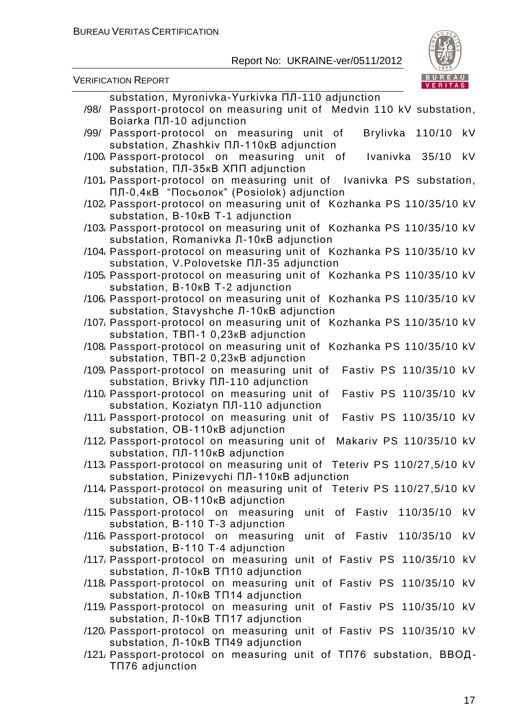

|      | <b>VERIFICATION REPORT</b>                                                                                                             | BUREAU<br>VERITAS |    |
|------|----------------------------------------------------------------------------------------------------------------------------------------|-------------------|----|
| /98/ | substation, Myronivka-Yurkivka NJ-110 adjunction<br>Passport-protocol on measuring unit of Medvin 110 kV substation,                   |                   |    |
|      | <b>Boiarka ПЛ-10 adjunction</b><br>/99/ Passport-protocol on measuring unit of<br>Brylivka<br>Substation, Zhashkiv NJ-110KB adjunction | 110/10            | kV |
|      | /100 Passport-protocol on measuring unit of<br>Ivanivka 35/10<br>Substation, NJ-35KB XNN adjunction                                    |                   | kV |
|      | /101, Passport-protocol on measuring unit of Ivanivka PS substation,<br>ПЛ-0,4кВ "Посьолок" (Posiolok) adjunction                      |                   |    |
|      | /102 Passport-protocol on measuring unit of Kozhanka PS 110/35/10 kV<br>substation, B-10KB T-1 adjunction                              |                   |    |
|      | /103 Passport-protocol on measuring unit of Kozhanka PS 110/35/10 kV<br>substation, Romanivka J-10KB adjunction                        |                   |    |
|      | /104, Passport-protocol on measuring unit of Kozhanka PS 110/35/10 kV<br>substation, V.Polovetske ПЛ-35 adjunction                     |                   |    |
|      | /105, Passport-protocol on measuring unit of Kozhanka PS 110/35/10 kV<br>substation, B-10KB T-2 adjunction                             |                   |    |
|      | /106 Passport-protocol on measuring unit of Kozhanka PS 110/35/10 kV<br>substation, Stavyshche Л-10кВ adjunction                       |                   |    |
|      | /107, Passport-protocol on measuring unit of Kozhanka PS 110/35/10 kV<br>substation, TBN-1 0,23KB adjunction                           |                   |    |
|      | /108 Passport-protocol on measuring unit of Kozhanka PS 110/35/10 kV<br>substation, TBN-2 0,23KB adjunction                            |                   |    |
|      | /109 Passport-protocol on measuring unit of<br>Fastiv PS 110/35/10 kV<br>Substation, Brivky NJ-110 adjunction                          |                   |    |
|      | /110 Passport-protocol on measuring unit of<br>Fastiv PS 110/35/10 kV<br>Substation, Koziatyn NJ-110 adjunction                        |                   |    |
|      | Fastiv PS 110/35/10 kV<br>/111, Passport-protocol on measuring unit of<br>substation, OB-110KB adjunction                              |                   |    |
|      | /112 Passport-protocol on measuring unit of<br>Makariv PS 110/35/10 kV<br>substation, ПЛ-110кВ adjunction                              |                   |    |
|      | /113, Passport-protocol on measuring unit of Teteriv PS 110/27,5/10 kV<br>Substation, Pinizevychi NJ-110KB adjunction                  |                   |    |
|      | /114, Passport-protocol on measuring unit of Teteriv PS 110/27,5/10 kV<br>substation, OB-110KB adjunction                              |                   |    |
|      | /115 Passport-protocol on measuring unit of Fastiv<br>substation, B-110 T-3 adjunction                                                 | 110/35/10         | kV |
|      | /116 Passport-protocol on measuring<br>unit of Fastiv 110/35/10<br>substation, B-110 T-4 adjunction                                    |                   | kV |
|      | /117, Passport-protocol on measuring unit of Fastiv PS 110/35/10 kV<br>substation, $\Pi$ -10KB TN10 adjunction                         |                   |    |
|      | /118 Passport-protocol on measuring unit of Fastiv PS 110/35/10 kV<br>Substation, $\Pi$ -10KB TN14 adjunction                          |                   |    |
|      | /119, Passport-protocol on measuring unit of Fastiv PS 110/35/10 kV<br>substation, Л-10кВ ТП17 adjunction                              |                   |    |
|      | /120, Passport-protocol on measuring unit of Fastiv PS 110/35/10 kV<br>Substation, $\Pi$ -10KB TN49 adjunction                         |                   |    |
|      | /121, Passport-protocol on measuring unit of TП76 substation, ВВОД-<br>TN76 adjunction                                                 |                   |    |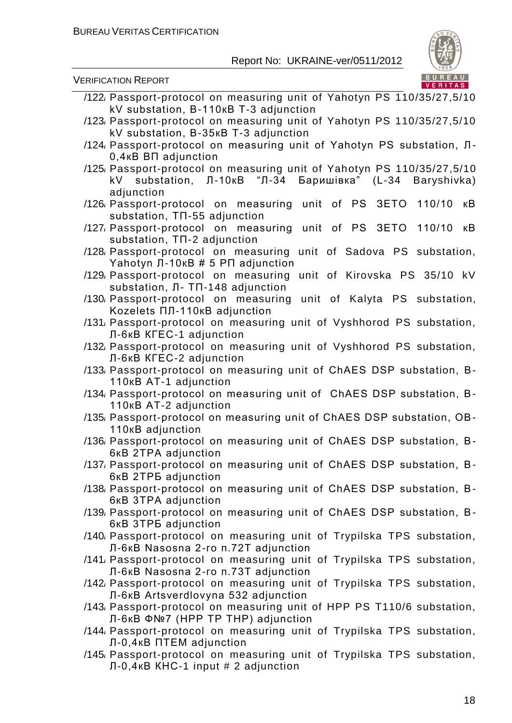

| kV substation, B-110KB T-3 adjunction                                                                                                  |
|----------------------------------------------------------------------------------------------------------------------------------------|
| /123 Passport-protocol on measuring unit of Yahotyn PS 110/35/27,5/10                                                                  |
| kV substation, B-35KB T-3 adjunction                                                                                                   |
| /124 Passport-protocol on measuring unit of Yahotyn PS substation, Л-<br>$0,4$ <sub>K</sub> B B <sub><math>\Pi</math></sub> adjunction |
| /125, Passport-protocol on measuring unit of Yahotyn PS 110/35/27,5/10                                                                 |
| kV substation, Л-10кВ "Л-34<br>Баришівка" (L-34 Baryshivka)<br>adjunction                                                              |
| unit of PS 3ETO 110/10<br>/126 Passport-protocol on measuring<br>кB                                                                    |
| substation, TN-55 adjunction                                                                                                           |
| /127, Passport-protocol on measuring unit of PS 3ETO<br>110/10<br>кB                                                                   |
| substation, TN-2 adjunction                                                                                                            |
| /128 Passport-protocol on measuring<br>unit of Sadova PS substation,                                                                   |
| Yahotyn Л-10кВ # 5 РП adjunction                                                                                                       |
| unit of Kirovska PS 35/10 kV<br>/129 Passport-protocol on measuring                                                                    |
| substation, Л- ТП-148 adjunction                                                                                                       |
| /130 Passport-protocol on measuring<br>unit of Kalyta PS substation,                                                                   |
| Kozelets ПЛ-110кВ adjunction                                                                                                           |
| /131, Passport-protocol on measuring unit of Vyshhorod PS substation,                                                                  |
| Л-6кВ КГЕС-1 adjunction                                                                                                                |
| /132 Passport-protocol on measuring unit of Vyshhorod PS substation,                                                                   |
| Л-6кВ КГЕС-2 adjunction                                                                                                                |
| /133, Passport-protocol on measuring unit of ChAES DSP substation, B-                                                                  |
| 110 <sub>K</sub> B AT-1 adjunction<br>/134, Passport-protocol on measuring unit of ChAES DSP substation, B-                            |
|                                                                                                                                        |
|                                                                                                                                        |
| 110KB AT-2 adjunction                                                                                                                  |
| /135, Passport-protocol on measuring unit of ChAES DSP substation, OB-                                                                 |
| 110 <sub>K</sub> B adjunction                                                                                                          |
| /136 Passport-protocol on measuring unit of ChAES DSP substation, B-<br>6KB 2TPA adjunction                                            |
| /137, Passport-protocol on measuring unit of ChAES DSP substation, B-                                                                  |
| 6KB 2TP5 adjunction                                                                                                                    |
| /138 Passport-protocol on measuring unit of ChAES DSP substation, B-                                                                   |
| 6KB 3TPA adjunction                                                                                                                    |
| /139, Passport-protocol on measuring unit of ChAES DSP substation, B-                                                                  |
| 6KB 3TP5 adjunction                                                                                                                    |
| /140, Passport-protocol on measuring unit of Trypilska TPS substation,                                                                 |
| Л-6кВ Nasosna 2-го п.72T adjunction                                                                                                    |
| /141, Passport-protocol on measuring unit of Trypilska TPS substation,                                                                 |
| Л-6кВ Nasosna 2-го п.73T adjunction                                                                                                    |
| /142 Passport-protocol on measuring unit of Trypilska TPS substation,                                                                  |
| Л-6кВ Artsverdlovyna 532 adjunction                                                                                                    |
| /143 Passport-protocol on measuring unit of HPP PS T110/6 substation,                                                                  |
| Л-6кВ Ф№7 (HPP TP THP) adjunction<br>/144 Passport-protocol on measuring unit of Trypilska TPS substation,                             |
| Л-0,4кВ ПТЕМ adjunction                                                                                                                |
| /145 Passport-protocol on measuring unit of Trypilska TPS substation,<br>Л-0,4кВ КНС-1 input # 2 adjunction                            |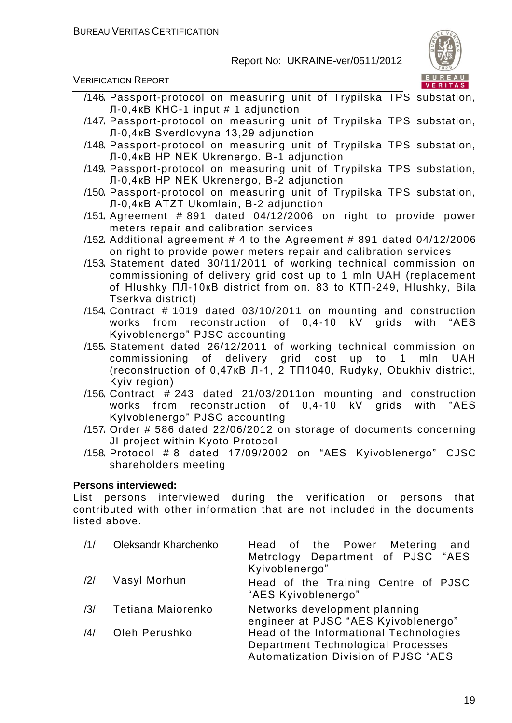VERIFICATION REPORT



- /146/ Passport-protocol on measuring unit of Trypilska TPS substation, Л-0,4кВ КНС-1 input # 1 adjunction
- /147/ Passport-protocol on measuring unit of Trypilska TPS substation, Л-0,4кВ Sverdlovyna 13,29 adjunction
- /148/ Passport-protocol on measuring unit of Trypilska TPS substation, Л-0,4кВ HP NEK Ukrenergo, В-1 adjunction
- /149/ Passport-protocol on measuring unit of Trypilska TPS substation, Л-0,4кВ HP NEK Ukrenergo, В-2 adjunction
- /150/ Passport-protocol on measuring unit of Trypilska TPS substation, Л-0,4кВ ATZT Ukomlain, В-2 adjunction
- /151/ Agreement # 891 dated 04/12/2006 on right to provide power meters repair and calibration services
- /152 Additional agreement  $# 4$  to the Agreement  $# 891$  dated 04/12/2006 on right to provide power meters repair and calibration services
- /153/ Statement dated 30/11/2011 of working technical commission on commissioning of delivery grid cost up to 1 mln UAH (replacement of Hlushky ПЛ-10кВ district from оп. 83 to КТП-249, Hlushky, Bila Tserkva district)
- /154/ Contract # 1019 dated 03/10/2011 on mounting and construction works from reconstruction of 0,4-10 kV grids with "AES Kyivoblenergo" PJSC accounting
- /155/ Statement dated 26/12/2011 of working technical commission on commissioning of delivery grid cost up to 1 mln UAH (reconstruction of 0,47кВ Л-1, 2 ТП1040, Rudyky, Obukhiv district, Kyiv region)
- /156/ Contract # 243 dated 21/03/2011on mounting and construction works from reconstruction of 0,4-10 kV grids with "AES Kyivoblenergo" PJSC accounting
- /157/ Order # 586 dated 22/06/2012 on storage of documents concerning JI project within Kyoto Protocol
- /158/ Protocol # 8 dated 17/09/2002 on "AES Kyivoblenergo" CJSC shareholders meeting

#### **Persons interviewed:**

List persons interviewed during the verification or persons that contributed with other information that are not included in the documents listed above.

| /1/            | <b>Oleksandr Kharchenko</b> | Head of the Power Metering<br>and<br>Metrology Department of PJSC "AES<br>Kyivoblenergo"                                    |
|----------------|-----------------------------|-----------------------------------------------------------------------------------------------------------------------------|
| /2/            | Vasyl Morhun                | Head of the Training Centre of PJSC<br>"AES Kyivoblenergo"                                                                  |
| /3/            | Tetiana Maiorenko           | Networks development planning<br>engineer at PJSC "AES Kyivoblenergo"                                                       |
| $\frac{14}{3}$ | Oleh Perushko               | Head of the Informational Technologies<br><b>Department Technological Processes</b><br>Automatization Division of PJSC "AES |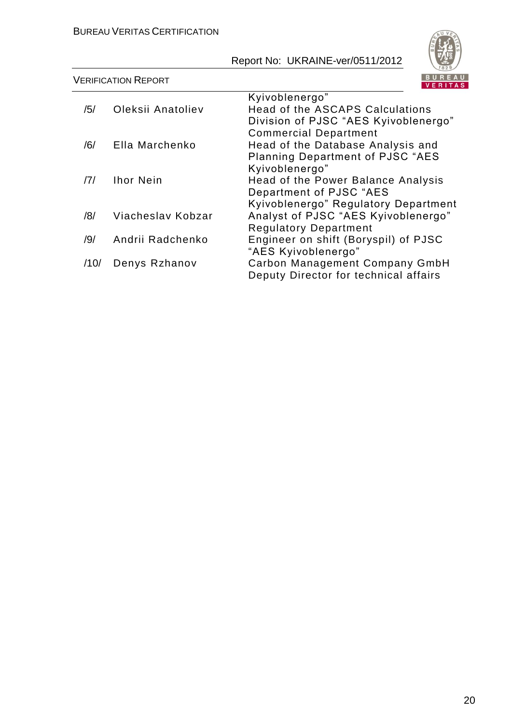

|                | <b>VERIFICATION REPORT</b> |                                         |
|----------------|----------------------------|-----------------------------------------|
|                |                            | Kyivoblenergo"                          |
| /5/            | Oleksii Anatoliev          | Head of the ASCAPS Calculations         |
|                |                            | Division of PJSC "AES Kyivoblenergo"    |
|                |                            | <b>Commercial Department</b>            |
| /6/            | Ella Marchenko             | Head of the Database Analysis and       |
|                |                            | <b>Planning Department of PJSC "AES</b> |
|                |                            | Kyivoblenergo"                          |
| $\overline{7}$ | <b>Ihor Nein</b>           | Head of the Power Balance Analysis      |
|                |                            | Department of PJSC "AES                 |
|                |                            | Kyivoblenergo" Regulatory Department    |
| /8/            | Viacheslav Kobzar          | Analyst of PJSC "AES Kyivoblenergo"     |
|                |                            | <b>Regulatory Department</b>            |
| /9/            | Andrii Radchenko           | Engineer on shift (Boryspil) of PJSC    |
|                |                            | "AES Kyivoblenergo"                     |
| /10/           | Denys Rzhanov              | Carbon Management Company GmbH          |
|                |                            | Deputy Director for technical affairs   |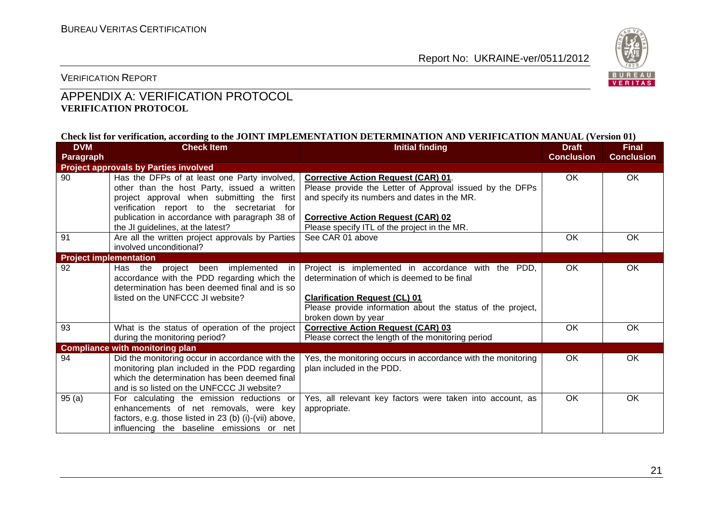

VERIFICATION REPORT

#### APPENDIX A: VERIFICATION PROTOCOL **VERIFICATION PROTOCOL**

#### **Check list for verification, according to the JOINT IMPLEMENTATION DETERMINATION AND VERIFICATION MANUAL (Version 01)**

| <b>DVM</b>                                   | <b>Check Item</b>                                                                                                                                                                                                                         | <b>Initial finding</b>                                                                                                                                                                                                           | <b>Draft</b>      | <b>Final</b>      |  |  |
|----------------------------------------------|-------------------------------------------------------------------------------------------------------------------------------------------------------------------------------------------------------------------------------------------|----------------------------------------------------------------------------------------------------------------------------------------------------------------------------------------------------------------------------------|-------------------|-------------------|--|--|
| Paragraph                                    |                                                                                                                                                                                                                                           |                                                                                                                                                                                                                                  | <b>Conclusion</b> | <b>Conclusion</b> |  |  |
| <b>Project approvals by Parties involved</b> |                                                                                                                                                                                                                                           |                                                                                                                                                                                                                                  |                   |                   |  |  |
| 90                                           | Has the DFPs of at least one Party involved,<br>other than the host Party, issued a written<br>project approval when submitting the first<br>verification report to the secretariat for<br>publication in accordance with paragraph 38 of | <b>Corrective Action Request (CAR) 01.</b><br>Please provide the Letter of Approval issued by the DFPs<br>and specify its numbers and dates in the MR.<br><b>Corrective Action Request (CAR) 02</b>                              | <b>OK</b>         | OK                |  |  |
| 91                                           | the JI guidelines, at the latest?<br>Are all the written project approvals by Parties<br>involved unconditional?                                                                                                                          | Please specify ITL of the project in the MR.<br>See CAR 01 above                                                                                                                                                                 | OK                | OK                |  |  |
| <b>Project implementation</b>                |                                                                                                                                                                                                                                           |                                                                                                                                                                                                                                  |                   |                   |  |  |
| 92                                           | Has the project been implemented<br>in.<br>accordance with the PDD regarding which the<br>determination has been deemed final and is so<br>listed on the UNFCCC JI website?                                                               | Project is implemented in accordance with the PDD,<br>determination of which is deemed to be final<br><b>Clarification Request (CL) 01</b><br>Please provide information about the status of the project,<br>broken down by year | OK                | OK                |  |  |
| 93                                           | What is the status of operation of the project<br>during the monitoring period?                                                                                                                                                           | <b>Corrective Action Request (CAR) 03</b><br>Please correct the length of the monitoring period                                                                                                                                  | OK                | OK                |  |  |
|                                              | <b>Compliance with monitoring plan</b>                                                                                                                                                                                                    |                                                                                                                                                                                                                                  |                   |                   |  |  |
| 94                                           | Did the monitoring occur in accordance with the<br>monitoring plan included in the PDD regarding<br>which the determination has been deemed final<br>and is so listed on the UNFCCC JI website?                                           | Yes, the monitoring occurs in accordance with the monitoring<br>plan included in the PDD.                                                                                                                                        | <b>OK</b>         | OK                |  |  |
| 95(a)                                        | For calculating the emission reductions or<br>enhancements of net removals, were key<br>factors, e.g. those listed in 23 (b) (i)-(vii) above,<br>influencing the baseline emissions or net                                                | Yes, all relevant key factors were taken into account, as<br>appropriate.                                                                                                                                                        | <b>OK</b>         | OK.               |  |  |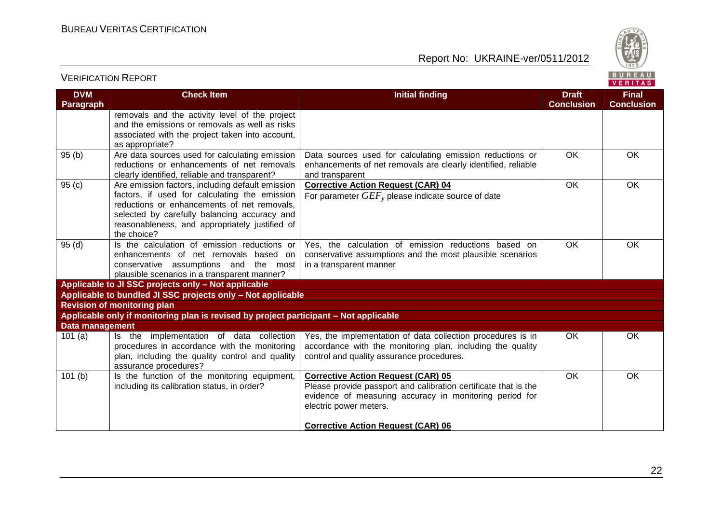



#### **VERITAS DVM Check Item Initial finding Draft Final Paragraph Conclusion Conclusion** removals and the activity level of the project and the emissions or removals as well as risks associated with the project taken into account, as appropriate? 95 (b) Are data sources used for calculating emission Data sources used for calculating emission reductions or OK OK enhancements of net removals are clearly identified, reliable reductions or enhancements of net removals clearly identified, reliable and transparent? and transparent 95 (c) Are emission factors, including default emission **Corrective Action Request (CAR) 04** OK OK factors, if used for calculating the emission For parameter *GEF<sup>y</sup>* please indicate source of date reductions or enhancements of net removals, selected by carefully balancing accuracy and reasonableness, and appropriately justified of the choice? 95 (d) Is the calculation of emission reductions or Yes, the calculation of emission reductions based on OK OK enhancements of net removals based on conservative assumptions and the most plausible scenarios conservative assumptions and the most in a transparent manner plausible scenarios in a transparent manner? **Applicable to JI SSC projects only – Not applicable Applicable to bundled JI SSC projects only – Not applicable Revision of monitoring plan Applicable only if monitoring plan is revised by project participant – Not applicable Data management** 101 (a) Is the implementation of data collection Yes, the implementation of data collection procedures is in OK OK procedures in accordance with the monitoring accordance with the monitoring plan, including the quality plan, including the quality control and quality control and quality assurance procedures. assurance procedures? 101 (b) Is the function of the monitoring equipment, **Corrective Action Request (CAR) 05** OK OKincluding its calibration status, in order? Please provide passport and calibration certificate that is the evidence of measuring accuracy in monitoring period for electric power meters. **Corrective Action Request (CAR) 06**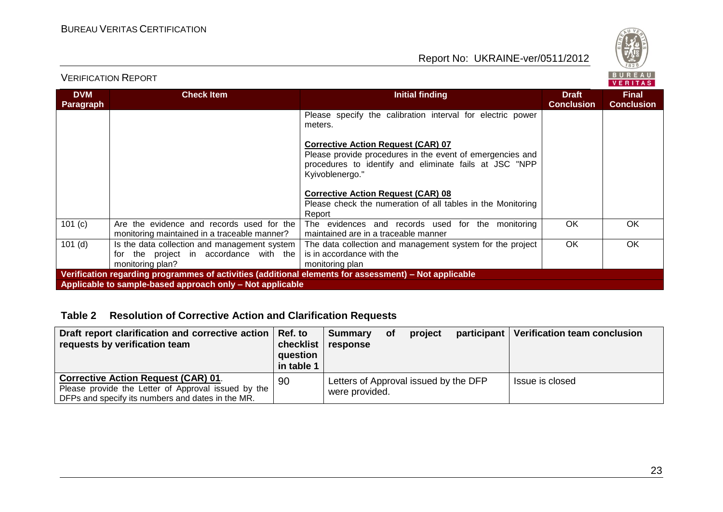

VERIFICATION REPORT

|                                                                                                       |                                                                                                            |                                                                                                                                                                                     |                                   | <b>VENIIAS</b>                    |  |  |
|-------------------------------------------------------------------------------------------------------|------------------------------------------------------------------------------------------------------------|-------------------------------------------------------------------------------------------------------------------------------------------------------------------------------------|-----------------------------------|-----------------------------------|--|--|
| <b>DVM</b><br>Paragraph                                                                               | <b>Check Item</b>                                                                                          | <b>Initial finding</b>                                                                                                                                                              | <b>Draft</b><br><b>Conclusion</b> | <b>Final</b><br><b>Conclusion</b> |  |  |
|                                                                                                       |                                                                                                            | Please specify the calibration interval for electric power<br>meters.                                                                                                               |                                   |                                   |  |  |
|                                                                                                       |                                                                                                            | <b>Corrective Action Request (CAR) 07</b><br>Please provide procedures in the event of emergencies and<br>procedures to identify and eliminate fails at JSC "NPP<br>Kyivoblenergo." |                                   |                                   |  |  |
|                                                                                                       |                                                                                                            | <b>Corrective Action Request (CAR) 08</b><br>Please check the numeration of all tables in the Monitoring<br>Report                                                                  |                                   |                                   |  |  |
| 101 (c)                                                                                               | Are the evidence and records used for the<br>monitoring maintained in a traceable manner?                  | The evidences and records used for the monitoring<br>maintained are in a traceable manner                                                                                           | OK.                               | OK.                               |  |  |
| $101$ (d)                                                                                             | Is the data collection and management system<br>for the project in accordance with the<br>monitoring plan? | The data collection and management system for the project<br>is in accordance with the<br>monitoring plan                                                                           | OK.                               | OK.                               |  |  |
| Verification regarding programmes of activities (additional elements for assessment) - Not applicable |                                                                                                            |                                                                                                                                                                                     |                                   |                                   |  |  |
| Applicable to sample-based approach only – Not applicable                                             |                                                                                                            |                                                                                                                                                                                     |                                   |                                   |  |  |

#### **Table 2 Resolution of Corrective Action and Clarification Requests**

| Draft report clarification and corrective action   Ref. to |            | Summary                               | Οt | project | participant   Verification team conclusion |
|------------------------------------------------------------|------------|---------------------------------------|----|---------|--------------------------------------------|
| requests by verification team                              |            | checklist response                    |    |         |                                            |
|                                                            | question   |                                       |    |         |                                            |
|                                                            | in table 1 |                                       |    |         |                                            |
| <b>Corrective Action Request (CAR) 01.</b>                 | 90         | Letters of Approval issued by the DFP |    |         | Issue is closed                            |
| Please provide the Letter of Approval issued by the        |            | were provided.                        |    |         |                                            |
| DFPs and specify its numbers and dates in the MR.          |            |                                       |    |         |                                            |